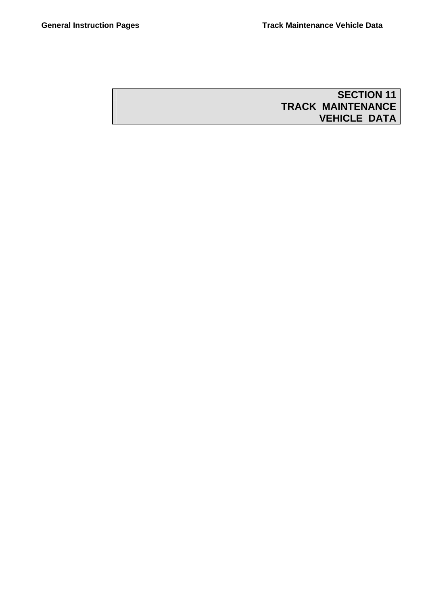# **SECTION 11 TRACK MAINTENANCE VEHICLE DATA**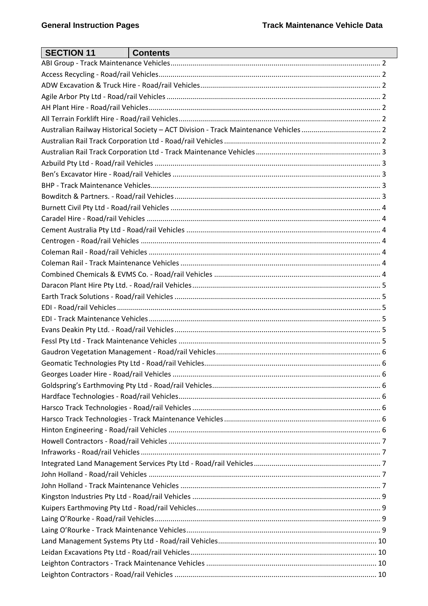| <b>SECTION 11</b> | <b>Contents</b> |  |
|-------------------|-----------------|--|
|                   |                 |  |
|                   |                 |  |
|                   |                 |  |
|                   |                 |  |
|                   |                 |  |
|                   |                 |  |
|                   |                 |  |
|                   |                 |  |
|                   |                 |  |
|                   |                 |  |
|                   |                 |  |
|                   |                 |  |
|                   |                 |  |
|                   |                 |  |
|                   |                 |  |
|                   |                 |  |
|                   |                 |  |
|                   |                 |  |
|                   |                 |  |
|                   |                 |  |
|                   |                 |  |
|                   |                 |  |
|                   |                 |  |
|                   |                 |  |
|                   |                 |  |
|                   |                 |  |
|                   |                 |  |
|                   |                 |  |
|                   |                 |  |
|                   |                 |  |
|                   |                 |  |
|                   |                 |  |
|                   |                 |  |
|                   |                 |  |
|                   |                 |  |
|                   |                 |  |
|                   |                 |  |
|                   |                 |  |
|                   |                 |  |
|                   |                 |  |
|                   |                 |  |
|                   |                 |  |
|                   |                 |  |
|                   |                 |  |
|                   |                 |  |
|                   |                 |  |
|                   |                 |  |
|                   |                 |  |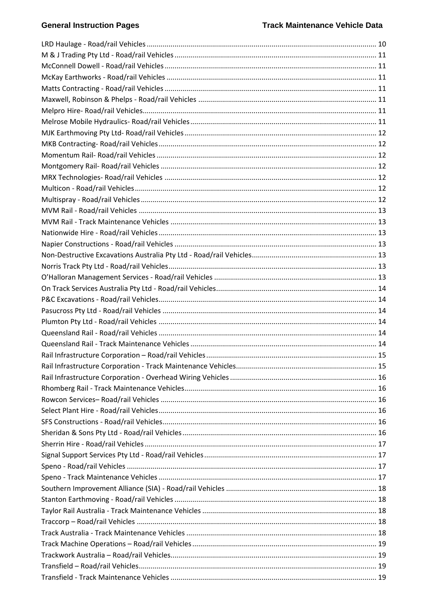# **General Instruction Pages**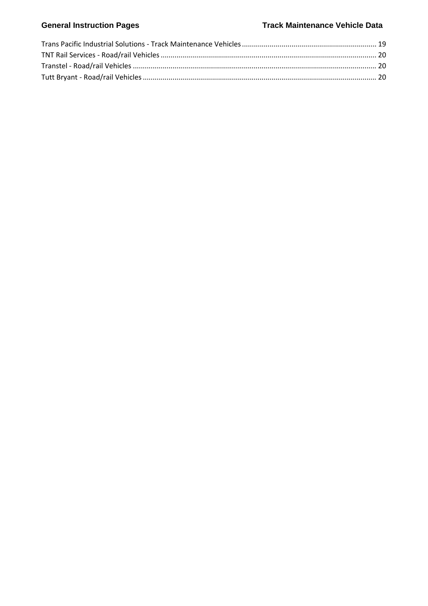# General Instruction Pages **Track Maintenance Vehicle Data**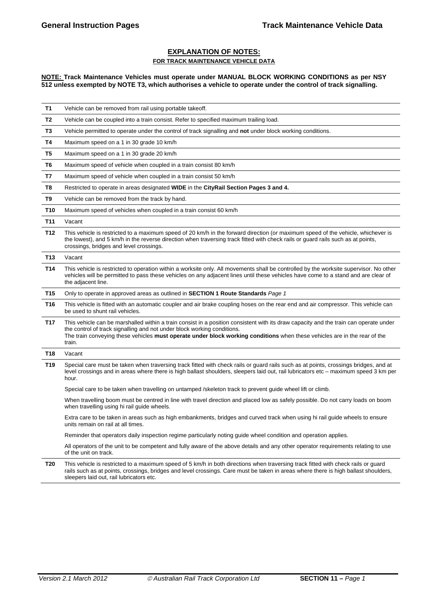#### **EXPLANATION OF NOTES: FOR TRACK MAINTENANCE VEHICLE DATA**

**NOTE: Track Maintenance Vehicles must operate under MANUAL BLOCK WORKING CONDITIONS as per NSY 512 unless exempted by NOTE T3, which authorises a vehicle to operate under the control of track signalling.** 

| Τ1              | Vehicle can be removed from rail using portable takeoff.                                                                                                                                                                                                                                                                                                       |
|-----------------|----------------------------------------------------------------------------------------------------------------------------------------------------------------------------------------------------------------------------------------------------------------------------------------------------------------------------------------------------------------|
| T2              | Vehicle can be coupled into a train consist. Refer to specified maximum trailing load.                                                                                                                                                                                                                                                                         |
| T3              | Vehicle permitted to operate under the control of track signalling and not under block working conditions.                                                                                                                                                                                                                                                     |
| T4              | Maximum speed on a 1 in 30 grade 10 km/h                                                                                                                                                                                                                                                                                                                       |
| T5              | Maximum speed on a 1 in 30 grade 20 km/h                                                                                                                                                                                                                                                                                                                       |
| T6              | Maximum speed of vehicle when coupled in a train consist 80 km/h                                                                                                                                                                                                                                                                                               |
| T7              | Maximum speed of vehicle when coupled in a train consist 50 km/h                                                                                                                                                                                                                                                                                               |
| T <sub>8</sub>  | Restricted to operate in areas designated WIDE in the CityRail Section Pages 3 and 4.                                                                                                                                                                                                                                                                          |
| T9              | Vehicle can be removed from the track by hand.                                                                                                                                                                                                                                                                                                                 |
| T <sub>10</sub> | Maximum speed of vehicles when coupled in a train consist 60 km/h                                                                                                                                                                                                                                                                                              |
| T11             | Vacant                                                                                                                                                                                                                                                                                                                                                         |
| T <sub>12</sub> | This vehicle is restricted to a maximum speed of 20 km/h in the forward direction (or maximum speed of the vehicle, whichever is<br>the lowest), and 5 km/h in the reverse direction when traversing track fitted with check rails or guard rails such as at points,<br>crossings, bridges and level crossings.                                                |
| T13             | Vacant                                                                                                                                                                                                                                                                                                                                                         |
| T <sub>14</sub> | This vehicle is restricted to operation within a worksite only. All movements shall be controlled by the worksite supervisor. No other<br>vehicles will be permitted to pass these vehicles on any adjacent lines until these vehicles have come to a stand and are clear of<br>the adjacent line.                                                             |
| T <sub>15</sub> | Only to operate in approved areas as outlined in <b>SECTION 1 Route Standards</b> Page 1                                                                                                                                                                                                                                                                       |
| T <sub>16</sub> | This vehicle is fitted with an automatic coupler and air brake coupling hoses on the rear end and air compressor. This vehicle can<br>be used to shunt rail vehicles.                                                                                                                                                                                          |
| T17             | This vehicle can be marshalled within a train consist in a position consistent with its draw capacity and the train can operate under<br>the control of track signalling and not under block working conditions.<br>The train conveying these vehicles <b>must operate under block working conditions</b> when these vehicles are in the rear of the<br>train. |
| T <sub>18</sub> | Vacant                                                                                                                                                                                                                                                                                                                                                         |
| T19             | Special care must be taken when traversing track fitted with check rails or guard rails such as at points, crossings bridges, and at<br>level crossings and in areas where there is high ballast shoulders, sleepers laid out, rail lubricators etc – maximum speed 3 km per<br>hour.                                                                          |
|                 | Special care to be taken when travelling on untamped /skeleton track to prevent guide wheel lift or climb.                                                                                                                                                                                                                                                     |
|                 | When travelling boom must be centred in line with travel direction and placed low as safely possible. Do not carry loads on boom<br>when travelling using hi rail guide wheels.                                                                                                                                                                                |
|                 | Extra care to be taken in areas such as high embankments, bridges and curved track when using hi rail guide wheels to ensure<br>units remain on rail at all times.                                                                                                                                                                                             |
|                 | Reminder that operators daily inspection regime particularly noting guide wheel condition and operation applies.                                                                                                                                                                                                                                               |
|                 | All operators of the unit to be competent and fully aware of the above details and any other operator requirements relating to use<br>of the unit on track.                                                                                                                                                                                                    |
| T20             | This vehicle is restricted to a maximum speed of 5 km/h in both directions when traversing track fitted with check rails or quard                                                                                                                                                                                                                              |

**T20** This vehicle is restricted to a maximum speed of 5 km/h in both directions when traversing track fitted with check rails or guard rails such as at points, crossings, bridges and level crossings. Care must be taken in areas where there is high ballast shoulders, sleepers laid out, rail lubricators etc.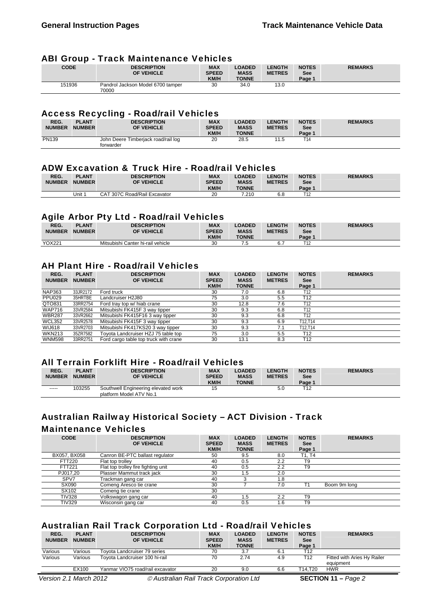#### ABI Group - Track Maintenance Vehicles

| <b>CODE</b> | <b>DESCRIPTION</b><br>OF VEHICLE           | <b>MAX</b><br><b>SPEED</b><br><b>KM/H</b> | <b>LOADED</b><br><b>MASS</b><br><b>TONNE</b> | <b>LENGTH</b><br><b>METRES</b> | <b>NOTES</b><br><b>See</b><br>Page 1 | <b>REMARKS</b> |
|-------------|--------------------------------------------|-------------------------------------------|----------------------------------------------|--------------------------------|--------------------------------------|----------------|
| 151936      | Pandrol Jackson Model 6700 tamper<br>70000 | 30                                        | 34.0                                         | 13.0                           |                                      |                |

#### Access Recycling - Road/rail Vehicles

| REG.<br><b>NUMBER</b> | <b>PLANT</b><br><b>NUMBER</b> | <b>DESCRIPTION</b><br>OF VEHICLE                 | <b>MAX</b><br><b>SPEED</b><br><b>KM/H</b> | <b>LOADED</b><br><b>MASS</b><br><b>TONNE</b> | <b>LENGTH</b><br><b>METRES</b> | <b>NOTES</b><br><b>See</b><br>Page ' | <b>REMARKS</b> |
|-----------------------|-------------------------------|--------------------------------------------------|-------------------------------------------|----------------------------------------------|--------------------------------|--------------------------------------|----------------|
| PN139                 |                               | John Deere Timberiack road/rail log<br>forwarder | 20                                        | 28.5                                         | 11.5                           | -14                                  |                |

# ADW Excavation & Truck Hire - Road/rail Vehicles

| REG.<br><b>NUMBER</b> | <b>PLANT</b><br><b>NUMBER</b> | <b>DESCRIPTION</b><br><b>OF VEHICLE</b> | <b>MAX</b><br><b>SPEED</b><br>KM/H | <b>LOADED</b><br><b>MASS</b><br><b>TONNE</b> | <b>LENGTH</b><br><b>METRES</b> | <b>NOTES</b><br>See<br>Page 1 | <b>REMARKS</b> |
|-----------------------|-------------------------------|-----------------------------------------|------------------------------------|----------------------------------------------|--------------------------------|-------------------------------|----------------|
|                       | Unit 1                        | 307C Road/Rail Excavator<br>CAT         | 20                                 | 7.210                                        | 6.8                            | T12                           |                |

# Agile Arbor Pty Ltd - Road/rail Vehicles

| --<br>REG.<br><b>NUMBER</b> | <b>PLANT</b><br><b>NUMBER</b> | <b>DESCRIPTION</b><br><b>OF VEHICLE</b> | <b>MAX</b><br><b>SPEED</b><br><b>KM/H</b> | <b>LOADED</b><br><b>MASS</b><br><b>TONNE</b> | <b>LENGTH</b><br><b>METRES</b> | <b>NOTES</b><br><b>See</b><br>Page 1 | <b>REMARKS</b> |
|-----------------------------|-------------------------------|-----------------------------------------|-------------------------------------------|----------------------------------------------|--------------------------------|--------------------------------------|----------------|
| YOX221                      |                               | Mitsubishi Canter hi-rail vehicle       | 30                                        | ں ۔                                          |                                |                                      |                |

# AH Plant Hire - Road/rail Vehicles

| REG.<br><b>NUMBER</b> | <b>PLANT</b><br><b>NUMBER</b> | <b>DESCRIPTION</b><br>OF VEHICLE      | <b>MAX</b><br><b>SPEED</b> | <b>LOADED</b><br><b>MASS</b> | <b>LENGTH</b><br><b>METRES</b> | <b>NOTES</b><br><b>See</b> | <b>REMARKS</b> |
|-----------------------|-------------------------------|---------------------------------------|----------------------------|------------------------------|--------------------------------|----------------------------|----------------|
|                       |                               |                                       | <b>KM/H</b>                | <b>TONNE</b>                 |                                | Page 1                     |                |
| <b>NAP363</b>         | 33JR2172                      | Ford truck                            | 30                         | 7.0                          | 6.8                            | T12                        |                |
| <b>PPU029</b>         | 35HRTBE                       | Landcruiser H2J80                     | 75                         | 3.0                          | 5.5                            | T12                        |                |
| QTO831                | 33RR2754                      | Ford tray top w/ hiab crane           | 30                         | 12.8                         | 7.6                            | T12                        |                |
| <b>WAP716</b>         | 33VR2584                      | Mitsubishi FK415F 3 way tipper        | 30                         | 9.3                          | 6.8                            | T12                        |                |
| <b>WBR287</b>         | 33VR2662                      | Mitsubishi FK415F16 3 way tipper      | 30                         | 9.3                          | 6.8                            | T12                        |                |
| <b>WCL352</b>         | 33VR2578                      | Mitsubishi FK415F 3 way tipper        | 30                         | 9.3                          | 6.9                            | T12.T14                    |                |
| <b>WIJ618</b>         | 33VR2703                      | Mitsubishi FK417KS20 3 way tipper     | 30                         | 9.3                          | 7.1                            | T12.T14                    |                |
| <b>WKN213</b>         | 35ZR7582                      | Toyota Landcruiser HZJ 75 table top   | 75                         | 3.0                          | 5.5                            | T <sub>12</sub>            |                |
| <b>WNM598</b>         | 33RR2751                      | Ford cargo table top truck with crane | 30                         | 13.1                         | 8.3                            | T <sub>12</sub>            |                |

#### All Terrain Forklift Hire - Road/rail Vehicles

| REG.<br><b>NUMBER</b> | <b>PLANT</b><br><b>NUMBER</b> | <b>DESCRIPTION</b><br>OF VEHICLE                               | <b>MAX</b><br><b>SPEED</b><br><b>KM/H</b> | <b>LOADED</b><br><b>MASS</b><br><b>TONNE</b> | <b>_ENGTH</b><br><b>METRES</b> | <b>NOTES</b><br><b>See</b><br>Page 1 | <b>REMARKS</b> |
|-----------------------|-------------------------------|----------------------------------------------------------------|-------------------------------------------|----------------------------------------------|--------------------------------|--------------------------------------|----------------|
| $-----$               | 103255                        | Southwell Engineering elevated work<br>platform Model ATV No.1 | 15                                        |                                              | 5.0                            | T12                                  |                |

# Australian Railway Historical Society – ACT Division - Track

#### Maintenance Vehicles

| <b>CODE</b>   | <b>DESCRIPTION</b><br>OF VEHICLE    | <b>MAX</b><br><b>SPEED</b><br>KM/H | <b>LOADED</b><br><b>MASS</b><br><b>TONNE</b> | <b>LENGTH</b><br><b>METRES</b> | <b>NOTES</b><br>See<br>Page 1 | <b>REMARKS</b> |
|---------------|-------------------------------------|------------------------------------|----------------------------------------------|--------------------------------|-------------------------------|----------------|
| BX057, BX058  | Canron BE-PTC ballast regulator     | 50                                 | 9.5                                          | 8.0                            | T1. T4                        |                |
| <b>FTT220</b> | Flat top trolley                    | 40                                 | 0.5                                          | 2.2                            | T <sub>9</sub>                |                |
| <b>FTT221</b> | Flat top trolley fire fighting unit | 40                                 | 0.5                                          | 2.2                            | T <sub>9</sub>                |                |
| PJ017.20      | Plasser Mammut track jack           | 30                                 | 1.5                                          | 2.0                            |                               |                |
| SPV7          | Trackman gang car                   | 40                                 | 3                                            | 1.8                            |                               |                |
| SX090         | Comeng Aresco tie crane             | 30                                 |                                              | 7.0                            |                               | Boom 9m long   |
| SX102         | Comeng tie crane                    | 30                                 |                                              |                                |                               |                |
| <b>TIV328</b> | Volkswagon gang car                 | 40                                 | 1.5                                          | 2.2                            | T <sub>9</sub>                |                |
| <b>TIV329</b> | Wisconsin gang car                  | 40                                 | 0.5                                          | l.6                            | T9                            |                |

# Australian Rail Track Corporation Ltd - Road/rail Vehicles

| REG.<br><b>NUMBER</b> | <b>PLANT</b><br><b>NUMBER</b> | <b>DESCRIPTION</b><br>OF VEHICLE | <b>MAX</b><br><b>SPEED</b><br><b>KM/H</b> | <b>LOADED</b><br><b>MASS</b><br><b>TONNE</b> | <b>LENGTH</b><br><b>METRES</b> | <b>NOTES</b><br><b>See</b><br>Page 1 | <b>REMARKS</b>                           |
|-----------------------|-------------------------------|----------------------------------|-------------------------------------------|----------------------------------------------|--------------------------------|--------------------------------------|------------------------------------------|
| Various               | Various                       | Tovota Landcruiser 79 series     | 70                                        | 3.7                                          | 6.1                            | T12                                  |                                          |
| Various               | Various                       | Toyota Landcruiser 100 hi-rail   | 70                                        | 2.74                                         | 4.9                            | T12                                  | Fitted with Aries Hy Railer<br>equipment |
|                       | EX100                         | Yanmar VIO75 road/rail excavator | 20                                        | 9.0                                          | 6.6                            | T14.T20                              | <b>HWR</b>                               |

*Version 2.1 March 2012 © Australian Rail Track Corporation Ltd* **SECTION 11** – *Page 2*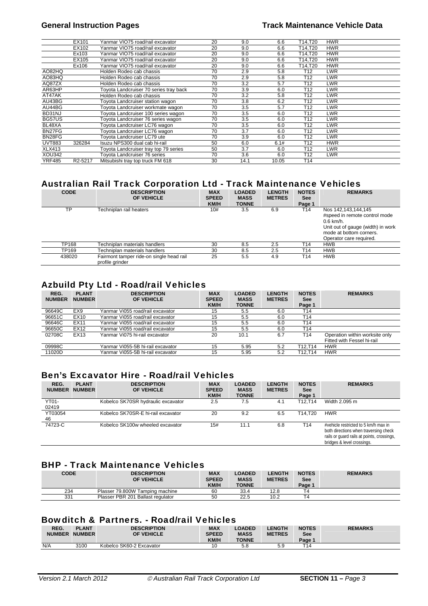|               | EX101   | Yanmar VIO75 road/rail excavator       | 20 | 9.0  | 6.6   | T14.T20         | <b>HWR</b> |
|---------------|---------|----------------------------------------|----|------|-------|-----------------|------------|
|               | EX102   | Yanmar VIO75 road/rail excavator       | 20 | 9.0  | 6.6   | T14,T20         | <b>HWR</b> |
|               | Ex103   | Yanmar VIO75 road/rail excavator       | 20 | 9.0  | 6.6   | T14,T20         | <b>HWR</b> |
|               | EX105   | Yanmar VIO75 road/rail excavator       | 20 | 9.0  | 6.6   | T14,T20         | <b>HWR</b> |
|               | Ex106   | Yanmar VIO75 road/rail excavator       | 20 | 9.0  | 6.6   | T14,T20         | <b>HWR</b> |
| AO82HQ        |         | Holden Rodeo cab chassis               | 70 | 2.9  | 5.8   | T12             | <b>LWR</b> |
| AO83HQ        |         | Holden Rodeo cab chassis               | 70 | 2.9  | 5.8   | T <sub>12</sub> | <b>LWR</b> |
| AQ87ZX        |         | Holden Rodeo cab chassis               | 70 | 3.2  | 5.7   | T <sub>12</sub> | LWR        |
| AR63HP        |         | Toyota Landcruiser 70 series tray back | 70 | 3.9  | 6.0   | T <sub>12</sub> | <b>LWR</b> |
| AT47AK        |         | Holden Rodeo cab chassis               | 70 | 3.2  | 5.8   | T <sub>12</sub> | <b>LWR</b> |
| AU43BG        |         | Toyota Landcruiser station wagon       | 70 | 3.8  | 6.2   | T12             | <b>LWR</b> |
| AU44BG        |         | Toyota Landcruiser workmate wagon      | 70 | 3.5  | 5.7   | T <sub>12</sub> | <b>LWR</b> |
| BD31NJ        |         | Foyota Landcruiser 100 series wagon    | 70 | 3.5  | 6.0   | T <sub>12</sub> | <b>LWR</b> |
| BG57US        |         | Toyota Landcruiser 76 series wagon     | 70 | 3.5  | 6.0   | T <sub>12</sub> | LWR        |
| BL48XA        |         | Foyota Landcruiser LC76 waqon          | 70 | 3.5  | 6.0   | T12             | <b>LWR</b> |
| BN27FG        |         | Tovota Landcruiser LC76 wagon          | 70 | 3.7  | 6.0   | T <sub>12</sub> | <b>LWR</b> |
| BN28FG        |         | Toyota Landcruiser LC79 ute            | 70 | 3.9  | 6.0   | T <sub>12</sub> | LWR        |
| <b>UVT883</b> | 326284  | Isuzu NPS300 dual cab hi-rail          | 50 | 6.0  | 6.1#  | T <sub>12</sub> | <b>HWR</b> |
| <b>XLX413</b> |         | Tovota Landcruiser tray top 79 series  | 50 | 3.7  | 6.0   | T <sub>12</sub> | <b>LWR</b> |
| XOU342        |         | <b>Tovota Landcruiser 76 series</b>    | 70 | 3.6  | 6.0   | T12             | <b>LWR</b> |
| YRF485        | R2-5217 | Mitsubishi tray top truck FM 618       | 30 | 14.1 | 10.05 | T14             |            |

# Australian Rail Track Corporation Ltd - Track Maintenance Vehicles

| <b>CODE</b> | <b>DESCRIPTION</b><br>OF VEHICLE                            | <b>MAX</b><br><b>SPEED</b><br><b>KM/H</b> | <b>LOADED</b><br><b>MASS</b><br><b>TONNE</b> | <b>LENGTH</b><br><b>METRES</b> | <b>NOTES</b><br><b>See</b><br>Page 1 | <b>REMARKS</b>                                                                                                                                                 |
|-------------|-------------------------------------------------------------|-------------------------------------------|----------------------------------------------|--------------------------------|--------------------------------------|----------------------------------------------------------------------------------------------------------------------------------------------------------------|
| ТP          | Techniplan rail heaters                                     | 10#                                       | 3.5                                          | 6.9                            | T14                                  | Nos 142,143,144,145<br>#speed in remote control mode<br>$0.6$ km/h.<br>Unit out of gauge (width) in work<br>mode at bottom corners.<br>Operator care required. |
| TP168       | Techniplan materials handlers                               | 30                                        | 8.5                                          | 2.5                            | T14                                  | <b>HWB</b>                                                                                                                                                     |
| TP169       | Techniplan materials handlers                               | 30                                        | 8.5                                          | 2.5                            | T14                                  | <b>HWB</b>                                                                                                                                                     |
| 438020      | Fairmont tamper ride-on single head rail<br>profile grinder | 25                                        | 5.5                                          | 4.9                            | T14                                  | <b>HWB</b>                                                                                                                                                     |

# Azbuild Pty Ltd - Road/rail Vehicles

| REG.<br><b>NUMBER</b> | <b>PLANT</b><br><b>NUMBER</b> | <b>DESCRIPTION</b><br>OF VEHICLE  | <b>MAX</b><br><b>SPEED</b><br><b>KM/H</b> | <b>LOADED</b><br><b>MASS</b><br><b>TONNE</b> | <b>LENGTH</b><br><b>METRES</b> | <b>NOTES</b><br>See<br>Page 1 | <b>REMARKS</b>                 |
|-----------------------|-------------------------------|-----------------------------------|-------------------------------------------|----------------------------------------------|--------------------------------|-------------------------------|--------------------------------|
| 96649C                | EX9                           | Yanmar Vi055 road/rail excavator  | 15                                        | 5.5                                          | 6.0                            | T14                           |                                |
| 96651C                | EX10                          | Yanmar Vi055 road/rail excavator  | 15                                        | 5.5                                          | 6.0                            | T <sub>14</sub>               |                                |
| 96646C                | EX11                          | Yanmar Vi055 road/rail excavator  | 15                                        | 5.5                                          | 6.0                            | T14                           |                                |
| 96650C                | EX12                          | Yanmar Vi055 road/rail excavator  | 15                                        | 5.5                                          | 6.0                            | T14                           |                                |
| 02708C                | EX13                          | Yanmar Vi075 hi-rail excavator    | 20                                        | 10.1                                         | 6.7                            | T <sub>14</sub>               | Operation within worksite only |
|                       |                               |                                   |                                           |                                              |                                |                               | Fitted with Fessel hi-rail     |
| 09998C                |                               | Yanmar Vi055-5B hi-rail excavator | 15                                        | 5.95                                         | 5.2                            | T12.T14                       | <b>HWR</b>                     |
| 11020D                |                               | Yanmar Vi055-5B hi-rail excavator | 15                                        | 5.95                                         | 5.2                            | T12.T14                       | <b>HWR</b>                     |

# Ben's Excavator Hire - Road/rail Vehicles

| REG.<br><b>NUMBER</b> | <b>PLANT</b><br><b>NUMBER</b> | <b>DESCRIPTION</b><br>OF VEHICLE   | <b>MAX</b><br><b>SPEED</b><br><b>KM/H</b> | <b>LOADED</b><br><b>MASS</b><br><b>TONNE</b> | <b>LENGTH</b><br><b>METRES</b> | <b>NOTES</b><br><b>See</b><br>Page 1 | <b>REMARKS</b>                                                                                                                                            |
|-----------------------|-------------------------------|------------------------------------|-------------------------------------------|----------------------------------------------|--------------------------------|--------------------------------------|-----------------------------------------------------------------------------------------------------------------------------------------------------------|
| YT01-<br>02419        |                               | Kobelco SK70SR hydraulic excavator | 2.5                                       | 7.5                                          | 4.1                            | T12.T14                              | Width 2.095 m                                                                                                                                             |
| YT03054<br>46         |                               | Kobelco SK70SR-E hi-rail excavator | 20                                        | 9.2                                          | 6.5                            | T14.T20                              | <b>HWR</b>                                                                                                                                                |
| 74723-C               |                               | Kobelco SK100w wheeled excavator   | 15#                                       | 11.1                                         | 6.8                            | T <sub>14</sub>                      | #vehicle restricted to 5 km/h max in<br>both directions when traversing check<br>rails or guard rails at points, crossings,<br>bridges & level crossings. |

# BHP - Track Maintenance Vehicles

| <b>CODE</b> | <b>DESCRIPTION</b><br>OF VEHICLE  | <b>MAX</b><br><b>SPEED</b><br><b>KM/H</b> | <b>LOADED</b><br><b>MASS</b><br><b>TONNE</b> | <b>LENGTH</b><br><b>METRES</b> | <b>NOTES</b><br>See<br>Page 1 | <b>REMARKS</b> |
|-------------|-----------------------------------|-------------------------------------------|----------------------------------------------|--------------------------------|-------------------------------|----------------|
| 234         | Plasser 79.800W Tamping machine   | 60                                        | 33.4                                         | 12.8                           | т4                            |                |
| 331         | Plasser PBR 201 Ballast regulator | 50                                        | 22.5                                         | 10.2                           | -4                            |                |

# Bowditch & Partners. - Road/rail Vehicles

| REG.<br><b>NUMBER</b> | <b>PLANT</b><br><b>NUMBER</b> | <b>DESCRIPTION</b><br>OF VEHICLE | <b>MAX</b><br><b>SPEED</b> | <b>LOADED</b><br><b>MASS</b> | <b>LENGTH</b><br><b>METRES</b> | <b>NOTES</b><br><b>See</b> | <b>REMARKS</b> |
|-----------------------|-------------------------------|----------------------------------|----------------------------|------------------------------|--------------------------------|----------------------------|----------------|
|                       |                               |                                  | KM/H                       | <b>TONNE</b>                 |                                | Page 1                     |                |
| N/A                   | 3100                          | Kobelco SK60-2 Excavator         |                            | 5.8                          | 5.9                            | T14                        |                |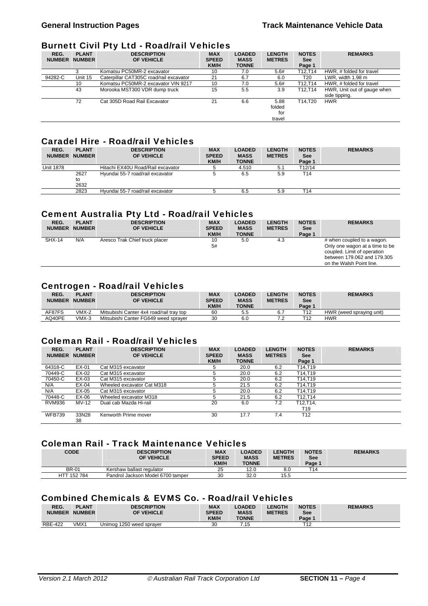#### Burnett Civil Pty Ltd - Road/rail Vehicles

| REG.<br><b>NUMBER</b> | <b>PLANT</b><br><b>NUMBER</b> | <b>DESCRIPTION</b><br>OF VEHICLE        | <b>MAX</b><br><b>SPEED</b><br>KM/H | <b>LOADED</b><br><b>MASS</b><br><b>TONNE</b> | <b>LENGTH</b><br><b>METRES</b>  | <b>NOTES</b><br>See<br>Page 1 | <b>REMARKS</b>                               |
|-----------------------|-------------------------------|-----------------------------------------|------------------------------------|----------------------------------------------|---------------------------------|-------------------------------|----------------------------------------------|
|                       |                               | Komatsu PC50MR-2 excavator              | 10                                 | 7.0                                          | 5.6#                            | T12.T14                       | HWR, # folded for travel                     |
| 94282-C               | Unit 15                       | Caterpillar CAT305C road/rail excavator | 21                                 | 6.7                                          | 6.0                             | T <sub>20</sub>               | LWR, width 1.98 m                            |
|                       | 10                            | Komatsu PC50MR-2 excavator VIN 9217     | 10                                 | 7.0                                          | 5.6#                            | T12.T14                       | HWR, # folded for travel                     |
|                       | 43                            | Morooka MST300 VDR dump truck           | 15                                 | 5.5                                          | 3.9                             | T12.T14                       | HWR, Unit out of gauge when<br>side tipping. |
|                       | 72                            | Cat 305D Road Rail Excavator            | 21                                 | 6.6                                          | 5.88<br>folded<br>for<br>travel | T14.T20                       | <b>HWR</b>                                   |

# Caradel Hire - Road/rail Vehicles

| REG.<br><b>NUMBER</b> | <b>PLANT</b><br><b>NUMBER</b> | <b>DESCRIPTION</b><br>OF VEHICLE  | <b>MAX</b><br><b>SPEED</b><br><b>KM/H</b> | <b>LOADED</b><br><b>MASS</b><br><b>TONNE</b> | <b>LENGTH</b><br><b>METRES</b> | <b>NOTES</b><br><b>See</b><br>Page 1 | <b>REMARKS</b> |
|-----------------------|-------------------------------|-----------------------------------|-------------------------------------------|----------------------------------------------|--------------------------------|--------------------------------------|----------------|
| <b>Unit 1878</b>      |                               | Hitachi EX40U Road/Rail excavator |                                           | 4.510                                        | 5.1                            | T12/14                               |                |
|                       | 2627<br>to<br>2632            | Hyundai 55-7 road/rail excavator  |                                           | 6.5                                          | 5.9                            | T14                                  |                |
|                       | 2823                          | Hyundai 55-7 road/rail excavator  |                                           | 6.5                                          | 5.9                            | ™14                                  |                |

### Cement Australia Pty Ltd - Road/rail Vehicles

| REG.<br><b>NUMBER</b> | <b>PLANT</b><br><b>NUMBER</b> | <b>DESCRIPTION</b><br>OF VEHICLE | <b>MAX</b><br><b>SPEED</b><br><b>KM/H</b> | <b>LOADED</b><br><b>MASS</b><br><b>TONNE</b> | <b>LENGTH</b><br><b>METRES</b> | <b>NOTES</b><br><b>See</b><br>Page 1 | <b>REMARKS</b>                                                                                                                                         |
|-----------------------|-------------------------------|----------------------------------|-------------------------------------------|----------------------------------------------|--------------------------------|--------------------------------------|--------------------------------------------------------------------------------------------------------------------------------------------------------|
| <b>SHX-14</b>         | N/A                           | Aresco Trak Chief truck placer   | 10<br>5#                                  | 5.0                                          | 4.3                            |                                      | # when coupled to a wagon.<br>Only one wagon at a time to be<br>coupled. Limit of operation<br>between 179,062 and 179,305<br>on the Walsh Point line. |

# Centrogen - Road/rail Vehicles

| REG.<br><b>NUMBER</b> | <b>PLANT</b><br><b>NUMBER</b> | <b>DESCRIPTION</b><br><b>OF VEHICLE</b>  | <b>MAX</b><br><b>SPEED</b><br><b>KM/H</b> | <b>LOADED</b><br><b>MASS</b><br><b>TONNE</b> | <b>LENGTH</b><br><b>METRES</b> | <b>NOTES</b><br><b>See</b><br>Page ' | <b>REMARKS</b>           |
|-----------------------|-------------------------------|------------------------------------------|-------------------------------------------|----------------------------------------------|--------------------------------|--------------------------------------|--------------------------|
| AF87FS                | VMX-2                         | Mitsubishi Canter 4x4 road/rail tray top | 60                                        | 5.5                                          |                                | T12                                  | HWR (weed spraving unit) |
| AQ40PE                | VMX-3                         | Mitsubishi Canter FG649 weed spraver     | 30                                        | 6.C                                          | $-$                            | T12                                  | HWR                      |

#### Coleman Rail - Road/rail Vehicles

| REG.<br><b>NUMBER</b> | <b>PLANT</b><br><b>NUMBER</b> | <b>DESCRIPTION</b><br>OF VEHICLE | <b>MAX</b><br><b>SPEED</b><br><b>KM/H</b> | <b>LOADED</b><br><b>MASS</b><br><b>TONNE</b> | <b>LENGTH</b><br><b>METRES</b> | <b>NOTES</b><br><b>See</b><br>Page 1 | <b>REMARKS</b> |
|-----------------------|-------------------------------|----------------------------------|-------------------------------------------|----------------------------------------------|--------------------------------|--------------------------------------|----------------|
| 64318-C               | EX-01                         | Cat M315 excavator               |                                           | 20.0                                         | 6.2                            | T14.T19                              |                |
| 70449-C               | EX-02                         | Cat M315 excavator               | 5                                         | 20.0                                         | 6.2                            | T14.T19                              |                |
| 70450-C               | EX-03                         | Cat M315 excavator               |                                           | 20.0                                         | 6.2                            | T14.T19                              |                |
| N/A                   | EX-04                         | Wheeled excavator Cat M318       |                                           | 21.5                                         | 6.2                            | T14.T19                              |                |
| N/A                   | EX-05                         | Cat M315 excavator               |                                           | 20.0                                         | 6.2                            | T14.T19                              |                |
| 70448-C               | EX-06                         | Wheeled excavator M318           |                                           | 21.5                                         | 6.2                            | T12.T14                              |                |
| <b>RVM936</b>         | MV-12                         | Dual cab Mazda Hi-rail           | 20                                        | 6.0                                          | 7.2                            | T12.T14.                             |                |
|                       |                               |                                  |                                           |                                              |                                | T <sub>19</sub>                      |                |
| <b>WFB739</b>         | 33N28<br>38                   | Kenworth Prime mover             | 30                                        | 17.7                                         | 7.4                            | T12                                  |                |

#### Coleman Rail - Track Maintenance Vehicles

| <b>CODE</b>  | <b>DESCRIPTION</b><br>OF VEHICLE  | <b>MAX</b><br><b>SPEED</b><br><b>KM/H</b> | <b>LOADED</b><br><b>MASS</b><br><b>TONNE</b> | <b>LENGTH</b><br><b>METRES</b> | <b>NOTES</b><br>See<br>Page 1 | <b>REMARKS</b> |
|--------------|-----------------------------------|-------------------------------------------|----------------------------------------------|--------------------------------|-------------------------------|----------------|
| <b>BR-01</b> | Kershaw ballast regulator         | 25                                        | 12.0                                         | 8.0                            | T14                           |                |
| HTT 152 784  | Pandrol Jackson Model 6700 tamper | 30                                        | 32.0                                         | 15.5                           |                               |                |

# Combined Chemicals & EVMS Co. - Road/rail Vehicles

| REG.<br><b>NUMBER</b> | <b>PLANT</b><br><b>NUMBER</b> | <b>DESCRIPTION</b><br><b>OF VEHICLE</b> | MAX<br><b>SPEED</b><br><b>KM/H</b> | LOADED<br><b>MASS</b><br><b>TONNE</b> | <b>LENGTH</b><br><b>METRES</b> | <b>NOTES</b><br>See<br>Page 1 | <b>REMARKS</b> |
|-----------------------|-------------------------------|-----------------------------------------|------------------------------------|---------------------------------------|--------------------------------|-------------------------------|----------------|
| <b>RBE-422</b>        | VMX1                          | Unimog 1250 weed sprayer                | 30                                 | 15:                                   |                                | T4C                           |                |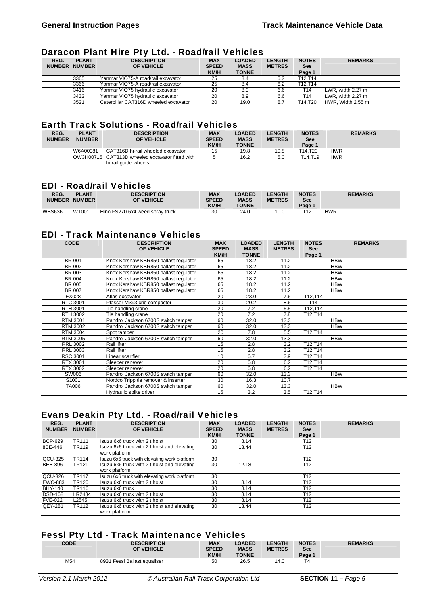#### Daracon Plant Hire Pty Ltd. - Road/rail Vehicles

| REG.<br><b>NUMBER</b> | <b>PLANT</b><br><b>NUMBER</b> | <b>DESCRIPTION</b><br>OF VEHICLE      | <b>MAX</b><br><b>SPEED</b><br><b>KM/H</b> | <b>LOADED</b><br><b>MASS</b><br><b>TONNE</b> | <b>LENGTH</b><br><b>METRES</b> | <b>NOTES</b><br><b>See</b><br>Page 1 | <b>REMARKS</b>    |
|-----------------------|-------------------------------|---------------------------------------|-------------------------------------------|----------------------------------------------|--------------------------------|--------------------------------------|-------------------|
|                       | 3365                          | Yanmar VIO75-A road/rail excavator    | 25                                        | 8.4                                          | 6.2                            | T12.T14                              |                   |
|                       | 3366                          | Yanmar VIO75-A road/rail excavator    | 25                                        | 8.4                                          | 6.2                            | T12.T14                              |                   |
|                       | 3416                          | Yanmar VIO75 hydraulic excavator      | 20                                        | 8.9                                          | 6.6                            | T14                                  | LWR, width 2.27 m |
|                       | 3432                          | Yanmar VIO75 hydraulic excavator      | 20                                        | 8.9                                          | 6.6                            | T14                                  | LWR, width 2.27 m |
|                       | 3521                          | Caterpillar CAT316D wheeled excavator | 20                                        | 19.0                                         | 8.7                            | T14.T20                              | HWR. Width 2.55 m |

### Earth Track Solutions - Road/rail Vehicles

| REG.<br><b>NUMBER</b> | <b>PLANT</b><br><b>NUMBER</b> | <b>DESCRIPTION</b><br>OF VEHICLE                | <b>MAX</b><br><b>SPEED</b><br>KM/H | <b>LOADED</b><br><b>MASS</b><br><b>TONNE</b> | <b>LENGTH</b><br><b>METRES</b> | <b>NOTES</b><br><b>See</b><br>Page 1 | <b>REMARKS</b> |
|-----------------------|-------------------------------|-------------------------------------------------|------------------------------------|----------------------------------------------|--------------------------------|--------------------------------------|----------------|
|                       | W6A00981                      | CAT316D hi-rail wheeled excavator               | 15                                 | 19.8                                         | 19.8                           | T14.T20                              | HWR            |
|                       |                               | OW3H00715 CAT313D wheeled excavator fitted with |                                    | 16.2                                         | 5.0                            | T14.T19                              | HWR            |
|                       |                               | hi rail quide wheels                            |                                    |                                              |                                |                                      |                |

## EDI - Road/rail Vehicles

| REG.<br><b>NUMBER</b> | <b>PLANT</b><br><b>NUMBER</b> | <b>DESCRIPTION</b><br><b>OF VEHICLE</b> | <b>MAX</b><br><b>SPEED</b><br><b>KM/H</b> | <b>LOADED</b><br><b>MASS</b><br><b>TONNE</b> | <b>LENGTH</b><br><b>METRES</b> | <b>NOTES</b><br>See<br>Page 1 | <b>REMARKS</b> |
|-----------------------|-------------------------------|-----------------------------------------|-------------------------------------------|----------------------------------------------|--------------------------------|-------------------------------|----------------|
| <b>WBS636</b>         | <b>WT001</b>                  | Hino FS270 6x4 weed spray truck         | 30                                        | 24.0                                         | 10.0                           | <b>T40</b>                    | HWR            |

# EDI - Track Maintenance Vehicles

| <b>CODE</b>     | <b>DESCRIPTION</b><br>OF VEHICLE      | <b>MAX</b><br><b>SPEED</b> | <b>LOADED</b><br><b>MASS</b> | <b>LENGTH</b><br><b>METRES</b> | <b>NOTES</b><br><b>See</b> | <b>REMARKS</b> |
|-----------------|---------------------------------------|----------------------------|------------------------------|--------------------------------|----------------------------|----------------|
|                 |                                       | KM/H                       | <b>TONNE</b>                 |                                | Page 1                     |                |
| BR 001          | Knox Kershaw KBR850 ballast regulator | 65                         | 18.2                         | 11.2                           |                            | <b>HBW</b>     |
| BR 002          | Knox Kershaw KBR850 ballast regulator | 65                         | 18.2                         | 11.2                           |                            | <b>HBW</b>     |
| BR 003          | Knox Kershaw KBR850 ballast regulator | 65                         | 18.2                         | 11.2                           |                            | <b>HBW</b>     |
| BR 004          | Knox Kershaw KBR850 ballast regulator | 65                         | 18.2                         | 11.2                           |                            | <b>HBW</b>     |
| <b>BR 005</b>   | Knox Kershaw KBR850 ballast regulator | 65                         | 18.2                         | 11.2                           |                            | <b>HBW</b>     |
| BR 007          | Knox Kershaw KBR850 ballast regulator | 65                         | 18.2                         | 11.2                           |                            | <b>HBW</b>     |
| EX028           | Atlas excavator                       | 20                         | 23.0                         | 7.6                            | T12,T14                    |                |
| RTC 3001        | Plasser M393 crib compactor           | 30                         | 20.2                         | 8.6                            | T <sub>14</sub>            |                |
| RTH 3001        | Tie handling crane                    | 20                         | 7.2                          | 5.5                            | T12,T14                    |                |
| RTH 3002        | Tie handling crane                    | 20                         | 7.2                          | 7.8                            | T12,T14                    |                |
| <b>RTM 3001</b> | Pandrol Jackson 6700S switch tamper   | 60                         | 32.0                         | 13.3                           |                            | <b>HBW</b>     |
| <b>RTM 3002</b> | Pandrol Jackson 6700S switch tamper   | 60                         | 32.0                         | 13.3                           |                            | <b>HBW</b>     |
| <b>RTM 3004</b> | Spot tamper                           | 20                         | 7.8                          | 5.5                            | T12,T14                    |                |
| <b>RTM 3005</b> | Pandrol Jackson 6700S switch tamper   | 60                         | 32.0                         | 13.3                           |                            | <b>HBW</b>     |
| <b>RRL 3002</b> | Rail lifter                           | 15                         | 2.8                          | 3.2                            | T12,T14                    |                |
| <b>RRL 3003</b> | Rail lifter                           | 15                         | 2.8                          | 3.2                            | T12,T14                    |                |
| <b>RSC 3001</b> | Linear scarifier                      | 10                         | 6.7                          | 3.9                            | T12,T14                    |                |
| RTX 3001        | Sleeper renewer                       | 20                         | 6.8                          | 6.2                            | T12,T14                    |                |
| RTX 3002        | Sleeper renewer                       | 20                         | 6.8                          | 6.2                            | T12,T14                    |                |
| SW006           | Pandrol Jackson 6700S switch tamper   | 60                         | 32.0                         | 13.3                           |                            | <b>HBW</b>     |
| S1001           | Nordco Tripp tie remover & inserter   | 30                         | 16.3                         | 10.7                           |                            |                |
| TA006           | Pandrol Jackson 6700S switch tamper   | 60                         | 32.0                         | 13.3                           |                            | <b>HBW</b>     |
|                 | Hydraulic spike driver                | 15                         | 3.2                          | 3.5                            | T12,T14                    |                |

# Evans Deakin Pty Ltd. - Road/rail Vehicles

| REG.<br><b>NUMBER</b> | <b>PLANT</b><br><b>NUMBER</b> | <b>DESCRIPTION</b><br>OF VEHICLE                              | <b>MAX</b><br><b>SPEED</b><br><b>KM/H</b> | <b>LOADED</b><br><b>MASS</b><br><b>TONNE</b> | <b>LENGTH</b><br><b>METRES</b> | <b>NOTES</b><br><b>See</b><br>Page 1 | <b>REMARKS</b> |
|-----------------------|-------------------------------|---------------------------------------------------------------|-------------------------------------------|----------------------------------------------|--------------------------------|--------------------------------------|----------------|
| <b>BCP-629</b>        | <b>TR111</b>                  | Isuzu 6x6 truck with 2 t hoist                                | 30                                        | 8.14                                         |                                | T12                                  |                |
| 8BE-446               | TR119                         | Isuzu 6x6 truck with 2 t hoist and elevating<br>work platform | 30                                        | 13.44                                        |                                | T <sub>12</sub>                      |                |
| QCU-325               | <b>TR114</b>                  | Isuzu 6x6 truck with elevating work platform                  | 30                                        |                                              |                                | T <sub>12</sub>                      |                |
| <b>BEB-896</b>        | <b>TR121</b>                  | Isuzu 6x6 truck with 2 t hoist and elevating<br>work platform | 30                                        | 12.18                                        |                                | T <sub>12</sub>                      |                |
| QCU-326               | <b>TR117</b>                  | Isuzu 6x6 truck with elevating work platform                  | 30                                        |                                              |                                | T <sub>12</sub>                      |                |
| <b>EWC-883</b>        | <b>TR120</b>                  | Isuzu 6x6 truck with 2 t hoist                                | 30                                        | 8.14                                         |                                | T <sub>12</sub>                      |                |
| <b>BHY-140</b>        | TR116                         | Isuzu 6x6 truck                                               | 30                                        | 8.14                                         |                                | T <sub>12</sub>                      |                |
| <b>DSD-168</b>        | LR2484                        | Isuzu 6x6 truck with 2 t hoist                                | 30                                        | 8.14                                         |                                | T <sub>12</sub>                      |                |
| <b>FVE-022</b>        | L2545                         | Isuzu 6x6 truck with 2 t hoist                                | 30                                        | 8.14                                         |                                | T <sub>12</sub>                      |                |
| QEY-281               | TR112                         | Isuzu 6x6 truck with 2 t hoist and elevating<br>work platform | 30                                        | 13.44                                        |                                | T <sub>12</sub>                      |                |

# Fessl Pty Ltd - Track Maintenance Vehicles

| <b>CODE</b> | <b>DESCRIPTION</b><br>OF VEHICLE | <b>MAX</b><br><b>SPEED</b><br>KM/H | <b>LOADED</b><br><b>MASS</b><br><b>TONNE</b> | <b>LENGTH</b><br><b>METRES</b> | <b>NOTES</b><br><b>See</b><br>Page 1 | <b>REMARKS</b> |
|-------------|----------------------------------|------------------------------------|----------------------------------------------|--------------------------------|--------------------------------------|----------------|
| M54         | 8931 Fessl Ballast equaliser     | 50                                 | 26.5                                         | 14.0                           | Δ                                    |                |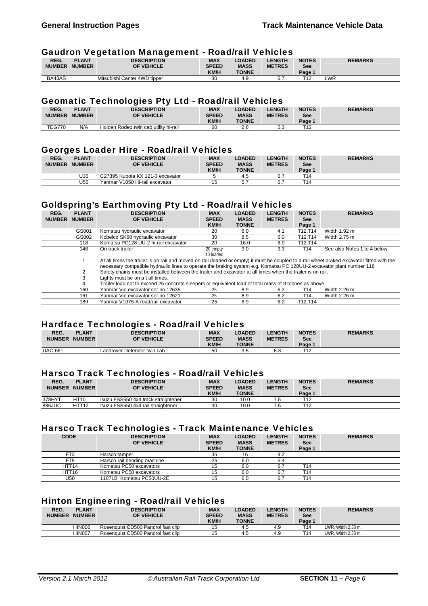#### Gaudron Vegetation Management - Road/rail Vehicles

|               |               | --<br>_                      |              |               |               |              |                |
|---------------|---------------|------------------------------|--------------|---------------|---------------|--------------|----------------|
| REG.          | <b>PLANT</b>  | <b>DESCRIPTION</b>           | <b>MAX</b>   | <b>LOADED</b> | <b>LENGTH</b> | <b>NOTES</b> | <b>REMARKS</b> |
| <b>NUMBER</b> | <b>NUMBER</b> | OF VEHICLE                   | <b>SPEED</b> | <b>MASS</b>   | <b>METRES</b> | <b>See</b>   |                |
|               |               |                              | <b>KM/H</b>  | <b>TONNE</b>  |               | Page 1       |                |
| BA43AS        |               | Mitsubishi Canter 4WD tipper | 30           |               |               | T40          | ∟WR            |

#### Geomatic Technologies Pty Ltd - Road/rail Vehicles

| REG.          | <b>PLANT</b>  | <b>DESCRIPTION</b>                    | <b>MAX</b>   | <b>LOADED</b> | <b>LENGTH</b> | <b>NOTES</b> | <b>REMARKS</b> |
|---------------|---------------|---------------------------------------|--------------|---------------|---------------|--------------|----------------|
|               |               |                                       |              |               |               |              |                |
|               | NUMBER NUMBER | <b>OF VEHICLE</b>                     | <b>SPEED</b> | <b>MASS</b>   | <b>METRES</b> | <b>See</b>   |                |
|               |               |                                       |              |               |               |              |                |
|               |               |                                       |              |               |               |              |                |
|               |               |                                       | <b>KM/H</b>  | <b>TONNE</b>  |               | Page 1       |                |
| <b>TEG770</b> | N/A           | Holden Rodeo twin cab utility hi-rail | 60           | 2.8           | 5.3           | T10          |                |

#### Georges Loader Hire - Road/rail Vehicles

| --<br>REG.<br><b>NUMBER</b> | <b>PLANT</b><br><b>NUMBER</b> | <b>DESCRIPTION</b><br>OF VEHICLE | <b>MAX</b><br><b>SPEED</b><br><b>KM/H</b> | <b>LOADED</b><br><b>MASS</b><br><b>TONNE</b> | <b>LENGTH</b><br><b>METRES</b> | <b>NOTES</b><br>See<br>Page 1 | <b>REMARKS</b> |
|-----------------------------|-------------------------------|----------------------------------|-------------------------------------------|----------------------------------------------|--------------------------------|-------------------------------|----------------|
|                             | U35                           | C27395 Kubota KX 121-3 excavator |                                           | 4.5                                          |                                | T <sub>14</sub>               |                |
|                             | U55                           | Yanmar V1050 Hi-rail excavator   | 15                                        | к.<br>ິ.                                     | υ.                             | T <sub>14</sub>               |                |

# Goldspring's Earthmoving Pty Ltd - Road/rail Vehicles

| REG.          | <b>PLANT</b>  | <b>DESCRIPTION</b>                                                                                                                                                                                                                                                   | <b>MAX</b>   | <b>LOADED</b> | <b>LENGTH</b> | <b>NOTES</b> | <b>REMARKS</b>              |
|---------------|---------------|----------------------------------------------------------------------------------------------------------------------------------------------------------------------------------------------------------------------------------------------------------------------|--------------|---------------|---------------|--------------|-----------------------------|
| <b>NUMBER</b> | <b>NUMBER</b> | OF VEHICLE                                                                                                                                                                                                                                                           | <b>SPEED</b> | <b>MASS</b>   | <b>METRES</b> | <b>See</b>   |                             |
|               |               |                                                                                                                                                                                                                                                                      | KM/H         | <b>TONNE</b>  |               | Page 1       |                             |
|               | GS001         | Komatsu hydraulic excavator                                                                                                                                                                                                                                          | 20           | 6.0           | 4.1           | T12.T14      | Width 1.92 m                |
|               | GS002         | Kobelco SK60 hydraulic excavator                                                                                                                                                                                                                                     | 30           | 8.5           | 6.0           | T12.T14      | Width 2.75 m                |
|               | 118           | Komatsu PC128 UU-2 hi-rail excavator                                                                                                                                                                                                                                 | 20           | 16.0          | 8.0           | T12.T14      |                             |
|               | 146           | On track trailer                                                                                                                                                                                                                                                     | 20 empty     | 9.0           | 3.3           | T14          | See also Notes 1 to 4 below |
|               |               |                                                                                                                                                                                                                                                                      | 10 loaded    |               |               |              |                             |
|               |               | At all times the trailer is on rail and moved on rail (loaded or empty) it must be coupled to a rail wheel braked excavator fitted with the<br>necessary compatible hydraulic lines to operate the braking system e.g. Komatsu PC 128UU-2 excavator plant number 118 |              |               |               |              |                             |
|               |               | Safety chains must be installed between the trailer and excavator at all times when the trailer is on rail.                                                                                                                                                          |              |               |               |              |                             |
|               |               | Lights must be on a t all times.                                                                                                                                                                                                                                     |              |               |               |              |                             |
|               | 4             | Trailer load not to exceed 26 concrete sleepers or equivalent load of total mass of 9 tonnes as above.                                                                                                                                                               |              |               |               |              |                             |
|               | 160           | Yanmar Vio excavator ser no 12635                                                                                                                                                                                                                                    | 25           | 8.9           | 6.2           | T14          | Width 2.26 m                |
|               | 161           | Yanmar Vio excavator ser no 12621                                                                                                                                                                                                                                    | 25           | 8.9           | 6.2           | T14          | Width 2.26 m                |

#### Hardface Technologies - Road/rail Vehicles

| REG.           | <b>PLANT</b>  | <b>DESCRIPTION</b>          | <b>MAX</b>   | <b>LOADED</b> | <b>_ENGTH</b> | <b>NOTES</b> | <b>REMARKS</b> |
|----------------|---------------|-----------------------------|--------------|---------------|---------------|--------------|----------------|
| <b>NUMBER</b>  | <b>NUMBER</b> | OF VEHICLE                  | <b>SPEED</b> | <b>MASS</b>   | <b>METRES</b> | See          |                |
|                |               |                             | <b>KM/H</b>  | <b>TONNE</b>  |               | Page 1       |                |
| <b>UAC-661</b> |               | Landrover Defender twin cab | 50           | 3.5           | 6.3           | T12          |                |

## Harsco Track Technologies - Road/rail Vehicles

| REG.<br><b>NUMBER</b> | <b>PLANT</b><br><b>NUMBER</b> | <b>DESCRIPTION</b><br>OF VEHICLE    | <b>MAX</b><br><b>SPEED</b><br><b>KM/H</b> | <b>LOADED</b><br><b>MASS</b><br><b>TONNE</b> | <b>LENGTH</b><br><b>METRES</b> | <b>NOTES</b><br><b>See</b><br>Page ' | <b>REMARKS</b> |
|-----------------------|-------------------------------|-------------------------------------|-------------------------------------------|----------------------------------------------|--------------------------------|--------------------------------------|----------------|
| 378HYT                | <b>HT10</b>                   | Isuzu FSS550 4x4 track straightener | 30                                        | 10.0                                         |                                | T12                                  |                |
| 886JUC                | HTT12                         | Isuzu FSS550 4x4 rail straightener  | 30                                        | 10.0                                         |                                | T12                                  |                |

### Harsco Track Technologies - Track Maintenance Vehicles

189 Yanmar V1075-A road/rail excavator 25 8.9 6.2 T12,T14

| <b>CODE</b>       | <b>DESCRIPTION</b><br>OF VEHICLE | <b>MAX</b><br><b>SPEED</b><br>KM/H | <b>LOADED</b><br><b>MASS</b><br><b>TONNE</b> | <b>LENGTH</b><br><b>METRES</b> | <b>NOTES</b><br><b>See</b><br>Page 1 | <b>REMARKS</b> |
|-------------------|----------------------------------|------------------------------------|----------------------------------------------|--------------------------------|--------------------------------------|----------------|
| FT3               | Harsco tamper                    | 35                                 | 16                                           | 9.2                            |                                      |                |
| FT9               | Harsco rail bending machine      | 25                                 | 6.0                                          | 5.4                            |                                      |                |
| HTT14             | Komatsu PC50 excavators          | 15                                 | 6.0                                          | 6.7                            | ™14                                  |                |
| HTT <sub>16</sub> | Komatsu PC50 excavators          | 15                                 | 6.0                                          | 6.7                            | ™14                                  |                |
| U50               | 11071B Komatsu PC50UU-2E         | 15                                 | 6.0                                          | 6.7                            | ™14                                  |                |

# Hinton Engineering - Road/rail Vehicles

| REG.<br><b>NUMBER</b> | <b>PLANT</b><br><b>NUMBER</b> | <b>DESCRIPTION</b><br>OF VEHICLE   | <b>MAX</b><br><b>SPEED</b><br><b>KM/H</b> | <b>_OADED</b><br><b>MASS</b><br><b>TONNE</b> | <b>LENGTH</b><br><b>METRES</b> | <b>NOTES</b><br><b>See</b><br>Page 1 | <b>REMARKS</b>     |
|-----------------------|-------------------------------|------------------------------------|-------------------------------------------|----------------------------------------------|--------------------------------|--------------------------------------|--------------------|
|                       | HIN006                        | Rosenguist CD500 Pandrol fast clip | 15                                        | 4.5                                          |                                | T <sub>14</sub>                      | LWR. Width 2.38 m. |
|                       | HIN007                        | Rosenguist CD500 Pandrol fast clip | 15                                        | 4.5                                          | 4.9                            | T14                                  | LWR. Width 2.38 m. |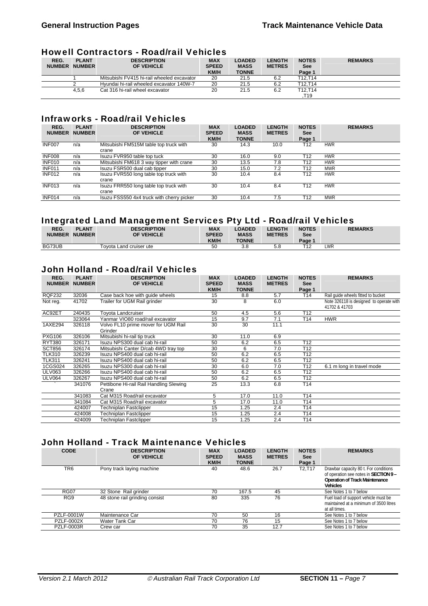# Howell Contractors - Road/rail Vehicles

| REG.<br><b>NUMBER</b> | <b>PLANT</b><br><b>NUMBER</b> | <b>DESCRIPTION</b><br>OF VEHICLE           | <b>MAX</b><br><b>SPEED</b><br><b>KM/H</b> | <b>LOADED</b><br><b>MASS</b><br><b>TONNE</b> | <b>LENGTH</b><br><b>METRES</b> | <b>NOTES</b><br><b>See</b><br>Page 1 | <b>REMARKS</b> |
|-----------------------|-------------------------------|--------------------------------------------|-------------------------------------------|----------------------------------------------|--------------------------------|--------------------------------------|----------------|
|                       |                               | Mitsubishi FV415 hi-rail wheeled excavator | 20                                        | 21.5                                         | 6.2                            | T12.T14                              |                |
|                       |                               | Hyundai hi-rail wheeled excavator 140W-7   | 20                                        | 21.5                                         | 6.2                            | T12.T14                              |                |
|                       | 4.5.6                         | Cat 316 hi-rail wheel excavator            | 20                                        | 21.5                                         | 6.2                            | T12.T14                              |                |
|                       |                               |                                            |                                           |                                              |                                | .T19                                 |                |

# Infraworks - Road/rail Vehicles

| REG.<br><b>NUMBER</b> | <b>PLANT</b><br><b>NUMBER</b> | <b>DESCRIPTION</b><br>OF VEHICLE                | <b>MAX</b><br><b>SPEED</b><br>KM/H | <b>LOADED</b><br><b>MASS</b><br><b>TONNE</b> | <b>LENGTH</b><br><b>METRES</b> | <b>NOTES</b><br><b>See</b><br>Page 1 | <b>REMARKS</b> |
|-----------------------|-------------------------------|-------------------------------------------------|------------------------------------|----------------------------------------------|--------------------------------|--------------------------------------|----------------|
| INF007                | n/a                           | Mitsubishi FM515M table top truck with<br>crane | 30                                 | 14.3                                         | 10.0                           | T12                                  | <b>HWR</b>     |
| INF008                | n/a                           | Isuzu FVR950 table top tuck                     | 30                                 | 16.0                                         | 9.0                            | T12                                  | <b>HWR</b>     |
| INF010                | n/a                           | Mitsubishi FM618 3 way tipper with crane        | 30                                 | 13.5                                         | 7.8                            | T12                                  | <b>HWR</b>     |
| <b>INF011</b>         | n/a                           | Isuzu FSR500 dual cab tipper                    | 30                                 | 15.0                                         | 7.2                            | T12                                  | <b>MWR</b>     |
| INF012                | n/a                           | Isuzu FVR550 long table top truck with<br>crane | 30                                 | 10.4                                         | 8.4                            | T12                                  | <b>HWR</b>     |
| <b>INF013</b>         | n/a                           | Isuzu FRR550 long table top truck with<br>crane | 30                                 | 10.4                                         | 8.4                            | T12                                  | <b>HWR</b>     |
| <b>INF014</b>         | n/a                           | Isuzu FSS550 4x4 truck with cherry picker       | 30                                 | 10.4                                         | 7.5                            | T <sub>12</sub>                      | <b>MWR</b>     |

#### Integrated Land Management Services Pty Ltd - Road/rail Vehicles

|               |               | . .                     |              |               |               |                 |                |
|---------------|---------------|-------------------------|--------------|---------------|---------------|-----------------|----------------|
| REG.          | <b>PLANT</b>  | <b>DESCRIPTION</b>      | <b>MAX</b>   | <b>LOADED</b> | <b>LENGTH</b> | <b>NOTES</b>    | <b>REMARKS</b> |
| <b>NUMBER</b> | <b>NUMBER</b> | <b>OF VEHICLE</b>       | <b>SPEED</b> | <b>MASS</b>   | <b>METRES</b> | See             |                |
|               |               |                         | <b>KM/H</b>  | <b>TONNE</b>  |               | Page 1          |                |
| BG73UB        |               | Tovota Land cruiser ute | 50           | 3.8           | o.c           | T <sub>12</sub> | LWR            |

# John Holland - Road/rail Vehicles

| REG.<br><b>NUMBER</b> | <b>PLANT</b><br><b>NUMBER</b> | <b>DESCRIPTION</b><br>OF VEHICLE        | <b>MAX</b><br><b>SPEED</b> | <b>LOADED</b><br><b>MASS</b> | <b>LENGTH</b><br><b>METRES</b> | <b>NOTES</b><br><b>See</b> | <b>REMARKS</b>                                           |
|-----------------------|-------------------------------|-----------------------------------------|----------------------------|------------------------------|--------------------------------|----------------------------|----------------------------------------------------------|
|                       |                               |                                         | <b>KM/H</b>                | <b>TONNE</b>                 |                                | Page 1                     |                                                          |
| <b>RQF232</b>         | 32036                         | Case back hoe with guide wheels         | 15                         | 8.8                          | 5.7                            | T14                        | Rail quide wheels fitted to bucket                       |
| Not reg.              | 41702                         | Trailer for UGM Rail grinder            | 30                         | 8                            | 6.0                            |                            | Note 326118 is designed to operate with<br>41702 & 41703 |
| AC92ET                | 240435                        | Toyota Landcruiser                      | 50                         | 4.5                          | 5.6                            | T <sub>12</sub>            |                                                          |
|                       | 323064                        | Yanmar VIO80 road/rail excavator        | 15                         | 9.7                          | 7.1                            | T14                        | <b>HWR</b>                                               |
| 1AXE294               | 326118                        | Volvo FL10 prime mover for UGM Rail     | 30                         | 30                           | 11.1                           |                            |                                                          |
|                       |                               | Grinder                                 |                            |                              |                                |                            |                                                          |
| <b>PXG106</b>         | 326106                        | Mitsubishi hi-rail tip truck            | 30                         | 11.0                         | 6.9                            |                            |                                                          |
| <b>RYT380</b>         | 326171                        | Isuzu NPS300 dual cab hi-rail           | 50                         | 6.2                          | 6.5                            | T <sub>12</sub>            |                                                          |
| <b>SCT856</b>         | 326174                        | Mitsubishi Canter D/cab 4WD tray top    | 30                         | 6                            | 7.0                            | T <sub>12</sub>            |                                                          |
| <b>TLK310</b>         | 326239                        | Isuzu NPS400 dual cab hi-rail           | 50                         | 6.2                          | 6.5                            | T <sub>12</sub>            |                                                          |
| <b>TLK311</b>         | 326241                        | Isuzu NPS400 dual cab hi-rail           | 50                         | 6.2                          | 6.5                            | T12                        |                                                          |
| 1CGS024               | 326265                        | Isuzu NPS300 dual cab hi-rail           | 30                         | 6.0                          | 7.0                            | T <sub>12</sub>            | 6.1 m long in travel mode                                |
| <b>ULV063</b>         | 326266                        | Isuzu NPS400 dual cab hi-rail           | 50                         | 6.2                          | 6.5                            | T <sub>12</sub>            |                                                          |
| <b>ULV064</b>         | 326267                        | Isuzu NPS400 dual cab hi-rail           | 50                         | 6.2                          | 6.5                            | T <sub>12</sub>            |                                                          |
|                       | 341076                        | Pettibone Hi-rail Rail Handling Slewing | 25                         | 13.3                         | 6.8                            | T <sub>14</sub>            |                                                          |
|                       |                               | Crane                                   |                            |                              |                                |                            |                                                          |
|                       | 341083                        | Cat M315 Road/rail excavator            | 5                          | 17.0                         | 11.0                           | T <sub>14</sub>            |                                                          |
|                       | 341084                        | Cat M315 Road/rail excavator            | 5                          | 17.0                         | 11.0                           | T14                        |                                                          |
|                       | 424007                        | Techniplan Fastclipper                  | 15                         | 1.25                         | 2.4                            | T <sub>14</sub>            |                                                          |
|                       | 424008                        | Techniplan Fastclipper                  | 15                         | 1.25                         | 2.4                            | T14                        |                                                          |
|                       | 424009                        | Techniplan Fastclipper                  | 15                         | 1.25                         | 2.4                            | T14                        |                                                          |

# John Holland - Track Maintenance Vehicles

| <b>CODE</b>       | <b>DESCRIPTION</b><br>OF VEHICLE | <b>MAX</b><br><b>SPEED</b><br><b>KM/H</b> | <b>LOADED</b><br><b>MASS</b><br><b>TONNE</b> | <b>LENGTH</b><br><b>METRES</b> | <b>NOTES</b><br>See<br>Page 1 | <b>REMARKS</b>                                                                                                                             |
|-------------------|----------------------------------|-------------------------------------------|----------------------------------------------|--------------------------------|-------------------------------|--------------------------------------------------------------------------------------------------------------------------------------------|
| TR <sub>6</sub>   | Pony track laying machine        | 40                                        | 48.6                                         | 26.7                           | T2.T17                        | Drawbar capacity 80 t. For conditions<br>of operation see notes in SECTION 9 -<br><b>Operation of Track Maintenance</b><br><b>Vehicles</b> |
| <b>RG07</b>       | 32 Stone Rail grinder            | 70                                        | 167.5                                        | 45                             |                               | See Notes 1 to 7 below                                                                                                                     |
| RG9               | 48 stone rail grinding consist   | 80                                        | 335                                          | 76                             |                               | Fuel load of support vehicle must be<br>maintained at a minimum of 3500 litres<br>at all times.                                            |
| PZLF-0001W        | Maintenance Car                  | 70                                        | 50                                           | 16                             |                               | See Notes 1 to 7 below                                                                                                                     |
| <b>PZLF-0002X</b> | Water Tank Car                   | 70                                        | 76                                           | 15                             |                               | See Notes 1 to 7 below                                                                                                                     |
| <b>PZLF-0003R</b> | Crew car                         | 70                                        | 35                                           | 12.7                           |                               | See Notes 1 to 7 below                                                                                                                     |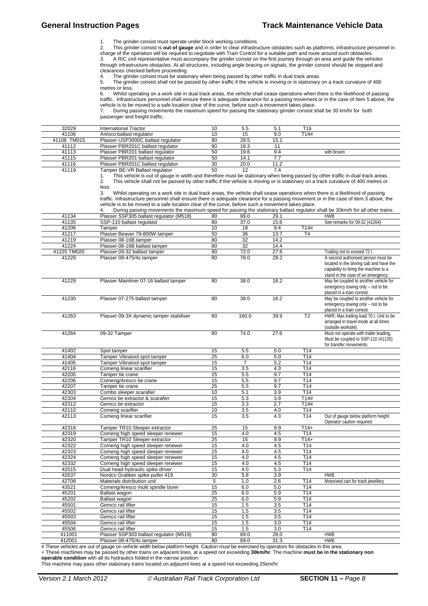#### General Instruction Pages **Track Maintenance Vehicle Data General** Instruction Pages

The grinder consist must operate under block working conditions.

2. This grinder consist is **out of gauge** and in order to clear infrastructure obstacles such as platforms, infrastructure personnel in<br>charge of the operation will be required to negotiate with Train Control for a suitabl

through infrastructure obstacles. At all structures, including angle bracing on signals, the grinder consist should be stopped and clearances checked before proceeding.

4. The grinder consist must be stationary when being passed by other traffic in dual track areas.<br>5. The grinder consist shall not be passed by other traffic if the vehicle is moving or is stationary

5. The grinder consist shall not be passed by other traffic if the vehicle is moving or is stationary on a track curvature of 400 metres or less. 6. Whilst operating on a work site in dual track areas, the vehicle shall cease operations when there is the likelihood of passing

traffic. Infrastructure personnel shall ensure there is adequate clearance for a passing movement or in the case of Item 5 above, the vehicle is to be moved to a safe location clear of the curve, before such a movement takes place.

7. During passing movements the maximum speed for passing the stationary grinder consist shall be 30 km/hr for both passenger and freight traffic.

| 32029       | International Tractor              | 10     | 5.5        |                               | T16        |  |
|-------------|------------------------------------|--------|------------|-------------------------------|------------|--|
| 41106       | Aresco ballast regulator           | 10     | 15         | 9.0                           | T14#       |  |
| 41108 TM015 | Plasser USP3000C ballast regulator | 80     | 28.5       | 15.1                          |            |  |
| 41112       | Plasser PBR201C ballast regulator  | 80     | 19.3       |                               |            |  |
| 41113       | Plasser PBR201 ballast regulator   | 50     | 19.6       | 9.4                           | with broom |  |
| 41115       | Plasser PBR201 ballast regulator   | 50     | 14.1       |                               |            |  |
| 41116       | Plasser PBR201C ballast regulator  | 30     | 20.0       | 11.2                          |            |  |
| 11110       | $T = 1$                            | $\sim$ | $\sqrt{2}$ | $\overline{ }$ $\overline{ }$ |            |  |

41119 Tamper BE-VR Ballast regulator 50 50 12 7.4<br>1. This vehicle is out of gauge in width and therefore must be stationary when This vehicle is out of gauge in width and therefore must be stationary when being passed by other traffic in dual track areas. 2. This vehicle shall not be passed by other traffic if the vehicle is moving or is stationary on a track curvature of 400 metres or

less.<br>3. Whilst operating on a work site in dual track areas, the vehicle shall cease operations when there is a likelihood of passing traffic. Infrastructure personnel shall ensure there is adequate clearance for a passing movement or in the case of item 3 above, the<br>vehicle is to be moved to a safe location clear of the curve, before such a movement tak

|             | During passing movements the maximum speed for passing the stationary ballast regulator shall be 30km/h for all other trains. |    |      |      |      |                                    |
|-------------|-------------------------------------------------------------------------------------------------------------------------------|----|------|------|------|------------------------------------|
| 41134       | Plasser SSP305 ballast regulator (M518)                                                                                       | 80 | 69.0 | 29.1 |      | <b>HWB</b>                         |
| 41135       | SSP-110 ballast regulator                                                                                                     | 80 | 37.0 | 15.6 |      | See remarks for 09-32 (41264)      |
| 41206       | Tamper                                                                                                                        | 10 |      | 9.4  | T14# |                                    |
| 41217       | Plasser Beaver 79-800W tamper                                                                                                 | 50 | 36   | 13.7 | Τ4   |                                    |
| 41219       | Plasser 08-16B tamper                                                                                                         | 80 | 32   | 14.2 |      |                                    |
| 41224       | Plasser 08-16B ballast tamper                                                                                                 | 80 | 32   | 14.4 |      |                                    |
| 41225 TM020 | Plasser 09-32 ballast tamper                                                                                                  | 80 | 72.0 | 27.6 |      | Trailing not to exceed 72 t        |
| 41228       | Plasser 08-475/4s tamper                                                                                                      | 80 | 78.0 | 28.2 |      | A second authorised person must be |

|       |                                         |    |       |      |    | located in the driving cab and have the<br>capability to bring the machine to a<br>stand in the case of an emergency. |
|-------|-----------------------------------------|----|-------|------|----|-----------------------------------------------------------------------------------------------------------------------|
| 41229 | Plasser Mainliner 07-16 ballast tamper  | 80 | 38.0  | 18.2 |    | May be coupled to another vehicle for<br>emergency towing only – not to be<br>placed in a train consist.              |
| 41230 | Plasser 07-275 ballast tamper           | 80 | 38.0  | 18.2 |    | May be coupled to another vehicle for<br>emergency towing only – not to be<br>placed in a train consist.              |
| 41263 | Plasser 09-3X dynamic tamper stabiliser | 80 | 160.0 | 39.9 | Τ2 | HWR, Max trailing load 70 t. Unit to be<br>arranged in travel mode at all times<br>$\left(\rightarrow$                |

|       |              |    |      |      | (outside worksite).                                                                                     |
|-------|--------------|----|------|------|---------------------------------------------------------------------------------------------------------|
| 41264 | 09-32 Tamper | 80 | 74.0 | 57 C | Must not operate with trailer leading.<br>Must be coupled to SSP-110 (41135)<br>for transfer movements. |

| 41402  | Spot tamper                             | 15 | 5.5            | 5.0  | T <sub>14</sub> |                                     |
|--------|-----------------------------------------|----|----------------|------|-----------------|-------------------------------------|
| 41404  | Tamper Vibratool spot tamper            | 25 | 6.0            | 5.0  | T14             |                                     |
| 41405  | Tamper Vibratool spot tamper            | 15 | $\overline{7}$ | 5.2  | T14             |                                     |
| 42116  | Comeng linear scarifier                 | 15 | 3.5            | 4.3  | T <sub>14</sub> |                                     |
| 42205  | Tamper tie crane                        | 25 | 5.5            | 9.7  | T <sub>14</sub> |                                     |
| 42206  | Comeng/Aresco tie crane                 | 15 | 5.5            | 9.7  | T <sub>14</sub> |                                     |
| 42207  | Tamper tie crane                        | 25 | 5.5            | 9.7  | T <sub>14</sub> |                                     |
| 42303  | Combo sleeper scarafier                 | 10 | 5.1            | 3.9  | T <sub>14</sub> |                                     |
| 42304  | Gemco tie extractor & scarafier         | 15 | 5.3            | 3.9  | T14#            |                                     |
| 42312  | Gemco tie extractor                     | 15 | 3.3            | 2.7  | T14#            |                                     |
| 42110  | Comeng scarifier                        | 10 | 3.5            | 4.0  | T <sub>14</sub> |                                     |
| 42113  | Comeng linear scarifier                 | 15 | 3.5            | 4.3  | T <sub>14</sub> | Out of gauge below platform height. |
|        |                                         |    |                |      |                 | Operator caution required.          |
| 42318  | Tamper TR10 Sleeper extractor           | 25 | 15             | 9.9  | $T14+$          |                                     |
| 42319  | Comeng high speed sleeper renewer       | 15 | 4.0            | 4.5  | T <sub>14</sub> |                                     |
| 42320  | Tamper TR10 Sleeper extractor           | 25 | 15             | 9.9  | $T14+$          |                                     |
| 42322  | Comeng high speed sleeper renewer       | 15 | 4.0            | 4.5  | T <sub>14</sub> |                                     |
| 42323  | Comeng high speed sleeper renewer       | 15 | 4.0            | 4.5  | T <sub>14</sub> |                                     |
| 42324  | Comeng high speed sleeper renewer       | 15 | 4.0            | 4.5  | T14             |                                     |
| 42332  | Comeng high speed sleeper renewer       | 15 | 4.0            | 4.5  | T <sub>14</sub> |                                     |
| 42515  | Dual head hydraulic spike driver        | 15 | 4.0            | 5.3  | T <sub>14</sub> |                                     |
| 42637  | Nordco Grabber spike puller 419         | 30 | 5.8            | 3.9  |                 | <b>HWB</b>                          |
| 42708  | Materials distribution unit             | 5  | 1.0            | 2.6  | T <sub>14</sub> | Motorised cart for track jewellery  |
| 43521  | Comeng/Aresco multi spindle borer       | 15 | 6.0            | 5.0  | T <sub>14</sub> |                                     |
| 45201  | Ballast wagon                           | 25 | 6.0            | 5.9  | T <sub>14</sub> |                                     |
| 45202  | Ballast wagon                           | 25 | 6.0            | 5.9  | T <sub>14</sub> |                                     |
| 45501  | Gemco rail lifter                       | 15 | 1.5            | 3.5  | T <sub>14</sub> |                                     |
| 45502  | Gemco rail lifter                       | 15 | 1.5            | 3.5  | T14             |                                     |
| 45503  | Gemco rail lifter                       | 15 | 1.5            | 3.5  | T14             |                                     |
| 45504  | Gemco rail lifter                       | 15 | 1.5            | 3.0  | T <sub>14</sub> |                                     |
| 45506  | Gemco rail lifter                       | 15 | 1.5            | 3.0  | T <sub>14</sub> |                                     |
| 411001 | Plasser SSP303 ballast regulator (M519) | 80 | 69.0           | 28.0 |                 | <b>HWB</b>                          |
| 412001 | Plasser 08-475/4s tamper                | 80 | 69.0           | 31.3 |                 | <b>HWB</b>                          |

# These vehicles are out of gauge on vehicle width below platform height. Caution must be exercised by operators for obstacles in this area.

+ These machines may be passed by other trains on adjacent lines, at a speed not exceeding **30km/hr**. The machine **must be in the stationary non operable condition** with all its hydraulics folded in the narrow position.

This machine may pass other stationary trains located on adjacent lines at a speed not exceeding 25km/hr.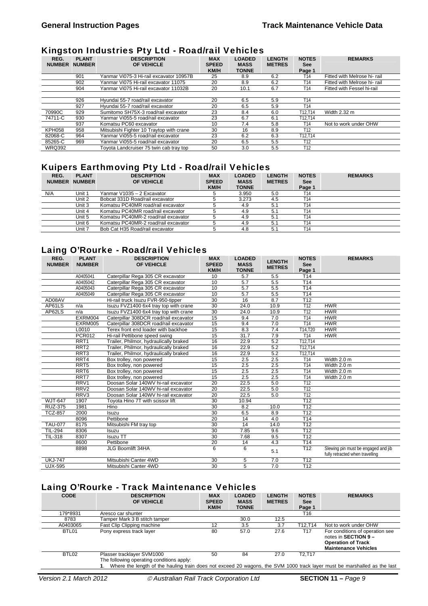#### Kingston Industries Pty Ltd - Road/rail Vehicles

| ~                     |                               | -                                        |                                           |                                              |                                |                                      |                              |
|-----------------------|-------------------------------|------------------------------------------|-------------------------------------------|----------------------------------------------|--------------------------------|--------------------------------------|------------------------------|
| REG.<br><b>NUMBER</b> | <b>PLANT</b><br><b>NUMBER</b> | <b>DESCRIPTION</b><br>OF VEHICLE         | <b>MAX</b><br><b>SPEED</b><br><b>KM/H</b> | <b>LOADED</b><br><b>MASS</b><br><b>TONNE</b> | <b>LENGTH</b><br><b>METRES</b> | <b>NOTES</b><br><b>See</b><br>Page 1 | <b>REMARKS</b>               |
|                       | 901                           | Yanmar Vi075-3 Hi-rail excavator 10957B  | 25                                        | 8.9                                          | 6.2                            | T14                                  | Fitted with Melrose hi- rail |
|                       | 902                           | Yanmar Vi075 Hi-rail excavator 11075     | 20                                        | 8.9                                          | 6.2                            | T14                                  | Fitted with Melrose hi-rail  |
|                       | 904                           | Yanmar Vi075 Hi-rail excavator 11032B    | 20                                        | 10.1                                         | 6.7                            | T14                                  | Fitted with Fessel hi-rail   |
|                       |                               |                                          |                                           |                                              |                                |                                      |                              |
|                       | 926                           | Hyundai 55-7 road/rail excavator         | 20                                        | 6.5                                          | 5.9                            | T14                                  |                              |
|                       | 927                           | Hyundai 55-7 road/rail excavator         | 20                                        | 6.5                                          | 5.9                            | T <sub>14</sub>                      |                              |
| 70990C                | 929                           | Sumitomo SH75X-3 road/rail excavator     | 23                                        | 8.4                                          | 6.0                            | T12.T14                              | Width 2.32 m                 |
| 74711-C               | 930                           | Yanmar Vi055-5 road/rail excavator       | 23                                        | 6.7                                          | 6.1                            | T12.T14                              |                              |
|                       | 937                           | Komatsu PC60 excavator                   | 10                                        | 7.4                                          | 5.8                            | T14                                  | Not to work under OHW        |
| <b>KPH058</b>         | 958                           | Mitsubishi Fighter 10 Traytop with crane | 30                                        | 16                                           | 8.9                            | T <sub>12</sub>                      |                              |
| 82068-C               | 964                           | Yanmar Vi055-5 road/rail excavator       | 23                                        | 6.2                                          | 6.3                            | T12.T14                              |                              |
| 85265-C               | 969                           | Yanmar Vi055-5 road/rail excavator       | 20                                        | 6.5                                          | 5.5                            | T12                                  |                              |
| <b>WRQ392</b>         |                               | Toyota Landcruiser 75 twin cab tray top  | 50                                        | 3.0                                          | 5.5                            | T <sub>12</sub>                      |                              |

# Kuipers Earthmoving Pty Ltd - Road/rail Vehicles

| REG.<br><b>NUMBER</b> | <b>PLANT</b><br><b>NUMBER</b> | . .<br><b>DESCRIPTION</b><br>OF VEHICLE | <b>MAX</b><br><b>SPEED</b><br><b>KM/H</b> | <b>LOADED</b><br><b>MASS</b><br><b>TONNE</b> | <b>LENGTH</b><br><b>METRES</b> | <b>NOTES</b><br><b>See</b><br>Page 1 | <b>REMARKS</b> |
|-----------------------|-------------------------------|-----------------------------------------|-------------------------------------------|----------------------------------------------|--------------------------------|--------------------------------------|----------------|
| N/A                   | Unit 1                        | Yanmar V1035 - 2 Excavator              |                                           | 3.950                                        | 5.0                            | T14                                  |                |
|                       | Unit 2                        | Bobcat 331D Road/rail excavator         |                                           | 3.273                                        | 4.5                            | T <sub>14</sub>                      |                |
|                       | Unit 3                        | Komatsu PC40MR road/rail excavator      |                                           | 4.9                                          | 5.1                            | T14                                  |                |
|                       | Unit 4                        | Komatsu PC40MR road/rail excavator      |                                           | 4.9                                          | 5.1                            | T14                                  |                |
|                       | Unit 5                        | Komatsu PC40MR-2 road/rail excavator    |                                           | 4.9                                          | 5.1                            | T14                                  |                |
|                       | Unit 6                        | Komatsu PC40MR-2 road/rail excavator    |                                           | 4.9                                          | 5.1                            | T <sub>14</sub>                      |                |
|                       | Unit 7                        | Bob Cat H35 Road/rail excavator         |                                           | 4.8                                          | 5.1                            | T14                                  |                |

# Laing O'Rourke - Road/rail Vehicles

| REG.<br><b>NUMBER</b> | <b>PLANT</b><br><b>NUMBER</b> | <b>DESCRIPTION</b><br>OF VEHICLE       | <b>MAX</b><br><b>SPEED</b><br><b>KM/H</b> | <b>LOADED</b><br><b>MASS</b><br><b>TONNE</b> | <b>LENGTH</b><br><b>METRES</b> | <b>NOTES</b><br><b>See</b><br>Page 1 | <b>REMARKS</b>                                                         |
|-----------------------|-------------------------------|----------------------------------------|-------------------------------------------|----------------------------------------------|--------------------------------|--------------------------------------|------------------------------------------------------------------------|
|                       | A0405041                      | Caterpillar Rega 305 CR excavator      | 10                                        | 5.7                                          | 5.5                            | T <sub>14</sub>                      |                                                                        |
|                       | A0405042                      | Caterpillar Rega 305 CR excavator      | 10                                        | 5.7                                          | 5.5                            | T14                                  |                                                                        |
|                       | A0405043                      | Caterpillar Rega 305 CR excavator      | 10                                        | 5.7                                          | 5.5                            | T <sub>14</sub>                      |                                                                        |
|                       | A0405049                      | Caterpillar Rega 305 CR excavator      | 10                                        | 5.7                                          | 5.5                            | T <sub>14</sub>                      |                                                                        |
| AD08AV                |                               | Hi-rail truck Isuzu FVR-950-tipper     | 30                                        | 16                                           | 8.7                            | T <sub>12</sub>                      |                                                                        |
| AP61LS                | n/a                           | Isuzu FVZ1400 6x4 tray top with crane  | 30                                        | 24.0                                         | 10.9                           | T <sub>12</sub>                      | <b>HWR</b>                                                             |
| AP62LS                | n/a                           | Isuzu FVZ1400 6x4 tray top with crane  | 30                                        | 24.0                                         | 10.9                           | T12                                  | <b>HWR</b>                                                             |
|                       | EXRM004                       | Caterpillar 308DCR road/rail excavator | 15                                        | 9.4                                          | 7.0                            | T <sub>14</sub>                      | <b>HWR</b>                                                             |
|                       | EXRM005                       | Caterpillar 308DCR road/rail excavator | 15                                        | 9.4                                          | 7.0                            | T14                                  | <b>HWR</b>                                                             |
|                       | L0010                         | Terex front end loader with backhoe    | 15                                        | 8.3                                          | 7.4                            | T14,T20                              | <b>HWR</b>                                                             |
|                       | <b>PCR012</b>                 | Hi-rail Pettibone speed swing          | 15                                        | 31.7                                         | 7.9                            | T14                                  | <b>HWR</b>                                                             |
|                       | RRT <sub>1</sub>              | Trailer, Philmor, hydraulically braked | 16                                        | 22.9                                         | 5.2                            | T12,T14                              |                                                                        |
|                       | RRT <sub>2</sub>              | Trailer, Philmor, hydraulically braked | 16                                        | 22.9                                         | 5.2                            | T12,T14                              |                                                                        |
|                       | RRT <sub>3</sub>              | Trailer, Philmor, hydraulically braked | 16                                        | 22.9                                         | 5.2                            | T12.T14                              |                                                                        |
|                       | RRT4                          | Box trolley, non powered               | 15                                        | 2.5                                          | 2.5                            | T <sub>14</sub>                      | Width 2.0 m                                                            |
|                       | RRT <sub>5</sub>              | Box trolley, non powered               | 15                                        | 2.5                                          | 2.5                            | T14                                  | Width 2.0 m                                                            |
|                       | RRT <sub>6</sub>              | Box trolley, non powered               | 15                                        | 2.5                                          | 2.5                            | T14                                  | Width 2.0 m                                                            |
|                       | RRT7                          | Box trolley, non powered               | 15                                        | 2.5                                          | 2.5                            | T <sub>14</sub>                      | Width 2.0 m                                                            |
|                       | RRV1                          | Doosan Solar 140WV hi-rail excavator   | $\overline{20}$                           | 22.5                                         | 5.0                            | $\overline{112}$                     |                                                                        |
|                       | RRV <sub>2</sub>              | Doosan Solar 140WV hi-rail excavator   | 20                                        | 22.5                                         | 5.0                            | T <sub>12</sub>                      |                                                                        |
|                       | RRV3                          | Doosan Solar 140WV hi-rail excavator   | 20                                        | 22.5                                         | 5.0                            | T12                                  |                                                                        |
| <b>WJT-647</b>        | 1907                          | Toyota Hino 7T with scissor lift       | 30                                        | 10.94                                        |                                | T12                                  |                                                                        |
| <b>RUZ-375</b>        | 1981                          | Hino                                   | 30                                        | 8.2                                          | 10.0                           | T <sub>12</sub>                      |                                                                        |
| <b>TCZ-857</b>        | 2000                          | Isuzu                                  | 30                                        | 6.5                                          | 8.9                            | T12                                  |                                                                        |
|                       | 8096                          | Pettibone                              | 20                                        | 14                                           | 4.0                            | T <sub>14</sub>                      |                                                                        |
| <b>TAU-077</b>        | 8175                          | Mitsubishi FM tray top                 | 30                                        | 14                                           | 14.0                           | T <sub>12</sub>                      |                                                                        |
| TIL-294               | 8306                          | Isuzu                                  | 30                                        | 7.85                                         | 9.6                            | T <sub>12</sub>                      |                                                                        |
| <b>TIL-318</b>        | 8307                          | <b>Isuzu TT</b>                        | 30                                        | 7.68                                         | 9.5                            | T12                                  |                                                                        |
|                       | 8600                          | Pettibone                              | 20                                        | 14                                           | 4.3                            | T <sub>14</sub>                      |                                                                        |
|                       | 8898                          | JLG Boomlift 34HA                      | 6                                         | 6                                            | 5.1                            | T <sub>12</sub>                      | Slewing pin must be engaged and jib<br>fully retracted when travelling |
| <b>UKJ-747</b>        |                               | Mitsubishi Canter 4WD                  | 30                                        | 5                                            | 7.0                            | T12                                  |                                                                        |
| <b>UJX-595</b>        |                               | Mitsubishi Canter 4WD                  | 30                                        | 5                                            | 7.0                            | T12                                  |                                                                        |

# Laing O'Rourke - Track Maintenance Vehicles

| <b>CODE</b> | <b>DESCRIPTION</b><br>OF VEHICLE                                                                                                                                                                    | <b>MAX</b><br><b>SPEED</b><br><b>KM/H</b> | <b>LOADED</b><br><b>MASS</b><br><b>TONNE</b> | <b>LENGTH</b><br><b>METRES</b> | <b>NOTES</b><br><b>See</b><br>Page 1 | <b>REMARKS</b>                                                                                                      |
|-------------|-----------------------------------------------------------------------------------------------------------------------------------------------------------------------------------------------------|-------------------------------------------|----------------------------------------------|--------------------------------|--------------------------------------|---------------------------------------------------------------------------------------------------------------------|
| 179*8931    | Aresco car shunter                                                                                                                                                                                  |                                           |                                              |                                | T16                                  |                                                                                                                     |
| 8783        | Tamper Mark 3 B stitch tamper                                                                                                                                                                       |                                           | 30.0                                         | 12.5                           |                                      |                                                                                                                     |
| A0403065    | Fast Clip Clipping machine                                                                                                                                                                          | 12                                        | 3.5                                          | 3.7                            | T12.T14                              | Not to work under OHW                                                                                               |
| BTL01       | Pony express track layer                                                                                                                                                                            | 80                                        | 57.0                                         | 27.6                           | T <sub>17</sub>                      | For conditions of operation see<br>notes in SECTION 9 -<br><b>Operation of Track</b><br><b>Maintenance Vehicles</b> |
| BTL02       | Plasser tracklayer SVM1000<br>The following operating conditions apply:<br>Where the length of the hauling train does not exceed 20 wagons, the SVM 1000 track layer must be marshalled as the last | 50                                        | 84                                           | 27.0                           | T <sub>2</sub> .T <sub>17</sub>      |                                                                                                                     |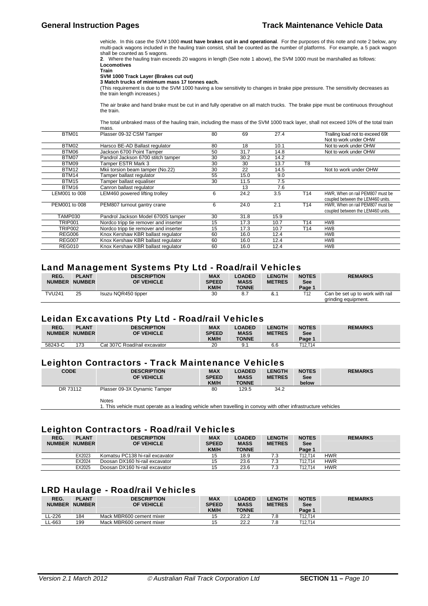vehicle. In this case the SVM 1000 **must have brakes cut in and operational**. For the purposes of this note and note 2 below, any multi-pack wagons included in the hauling train consist, shall be counted as the number of platforms. For example, a 5 pack wagon shall be counted as 5 wagons.

**2**. Where the hauling train exceeds 20 wagons in length (See note 1 above), the SVM 1000 must be marshalled as follows: **Locomotives** 

**Train** 

#### **SVM 1000 Track Layer (Brakes cut out)**

**3 Match trucks of minimum mass 17 tonnes each.** (This requirement is due to the SVM 1000 having a low sensitivity to changes in brake pipe pressure. The sensitivity decreases as the train length increases.)

The air brake and hand brake must be cut in and fully operative on all match trucks. The brake pipe must be continuous throughout the train.

The total unbraked mass of the hauling train, including the mass of the SVM 1000 track layer, shall not exceed 10% of the total train

|                | mass.                                 |    |      |      |                 |                                   |
|----------------|---------------------------------------|----|------|------|-----------------|-----------------------------------|
| BTM01          | Plasser 09-32 CSM Tamper              | 80 | 69   | 27.4 |                 | Trailing load not to exceed 69t   |
|                |                                       |    |      |      |                 | Not to work under OHW             |
| BTM02          | Harsco BE-AD Ballast regulator        | 80 | 18   | 10.1 |                 | Not to work under OHW             |
| BTM06          | Jackson 6700 Point Tamper             | 50 | 31.7 | 14.8 |                 | Not to work under OHW             |
| BTM07          | Pandrol Jackson 6700 stitch tamper    | 30 | 30.2 | 14.2 |                 |                                   |
| BTM09          | Tamper ESTR Mark 3                    | 30 | 30   | 13.7 | T <sub>8</sub>  |                                   |
| BTM12          | Mkii torsion beam tamper (No.22)      | 30 | 22   | 14.5 |                 | Not to work under OHW             |
| <b>BTM14</b>   | Tamper ballast regulator              | 55 | 15.0 | 9.0  |                 |                                   |
| <b>BTM15</b>   | Tamper ballast equaliser              | 30 | 11.5 | 7.5  |                 |                                   |
| BTM16          | Canron ballast regulator              |    | 13   | 7.6  |                 |                                   |
| LEM001 to 008  | LEM460 powered lifting trolley        | 6  | 24.2 | 3.5  | T <sub>14</sub> | HWR, When on rail PEM807 must be  |
|                |                                       |    |      |      |                 | coupled between the LEM460 units. |
| PEM001 to 008  | PEM807 turnout gantry crane           | 6  | 24.0 | 2.1  | T <sub>14</sub> | HWR. When on rail PEM807 must be  |
|                |                                       |    |      |      |                 | coupled between the LEM460 units. |
| TAMP030        | Pandrol Jackson Model 6700S tamper    | 30 | 31.8 | 15.9 |                 |                                   |
| <b>TRIP001</b> | Nordco tripp tie remover and inserter | 15 | 17.3 | 10.7 | T14             | <b>HWB</b>                        |
| <b>TRIP002</b> | Nordco tripp tie remover and inserter | 15 | 17.3 | 10.7 | T14             | <b>HWB</b>                        |
| <b>REG006</b>  | Knox Kershaw KBR ballast regulator    | 60 | 16.0 | 12.4 |                 | <b>HWB</b>                        |
| <b>REG007</b>  | Knox Kershaw KBR ballast regulator    | 60 | 16.0 | 12.4 |                 | <b>HWB</b>                        |
| <b>REG010</b>  | Knox Kershaw KBR ballast regulator    | 60 | 16.0 | 12.4 |                 | <b>HWB</b>                        |

#### Land Management Systems Pty Ltd - Road/rail Vehicles

| REG.          | <b>PLANT</b>  | <b>DESCRIPTION</b>  | <b>MAX</b>   | <b>LOADED</b> | <b>ENGTH</b>  | <b>NOTES</b> | <b>REMARKS</b>                  |
|---------------|---------------|---------------------|--------------|---------------|---------------|--------------|---------------------------------|
| <b>NUMBER</b> | <b>NUMBER</b> | OF VEHICLE          | <b>SPEED</b> | <b>MASS</b>   | <b>METRES</b> | <b>See</b>   |                                 |
|               |               |                     | <b>KM/H</b>  | <b>TONNE</b>  |               | Page 1       |                                 |
| <b>TVU241</b> | 25            | Isuzu NQR450 tipper | 30           | 8.7           | &.            | T12          | Can be set up to work with rail |
|               |               |                     |              |               |               |              | grinding equipment.             |

#### Leidan Excavations Pty Ltd - Road/rail Vehicles

|               |               | ___                          |              |               |               |                        |                |
|---------------|---------------|------------------------------|--------------|---------------|---------------|------------------------|----------------|
| REG.          | <b>PLANT</b>  | <b>DESCRIPTION</b>           | <b>MAX</b>   | <b>LOADED</b> | <b>ENGTH</b>  | <b>NOTES</b>           | <b>REMARKS</b> |
|               |               |                              |              |               |               |                        |                |
| <b>NUMBER</b> | <b>NUMBER</b> | OF VEHICLE                   | <b>SPEED</b> | <b>MASS</b>   | <b>METRES</b> | See                    |                |
|               |               |                              | <b>KM/H</b>  | <b>TONNE</b>  |               | Page 1                 |                |
|               |               |                              |              |               |               |                        |                |
| 58243-C       | 173           | Cat 307C Road/rail excavator | n o<br>۷J    |               | 6.6           | T10<br>T <sub>14</sub> |                |
|               |               |                              |              | ັ.            |               |                        |                |

#### Leighton Contractors - Track Maintenance Vehicles

| <b>CODE</b> | <b>DESCRIPTION</b><br>OF VEHICLE | <b>MAX</b><br><b>SPEED</b><br><b>KM/H</b> | <b>LOADED</b><br><b>MASS</b><br><b>TONNE</b> | <b>LENGTH</b><br><b>METRES</b> | <b>NOTES</b><br><b>See</b><br>below | <b>REMARKS</b> |
|-------------|----------------------------------|-------------------------------------------|----------------------------------------------|--------------------------------|-------------------------------------|----------------|
| DR 73112    | Plasser 09-3X Dynamic Tamper     | 80                                        | 129.5                                        | 34.2                           |                                     |                |
|             | Notes                            |                                           |                                              |                                |                                     |                |

1. This vehicle must operate as a leading vehicle when travelling in convoy with other infrastructure vehicles

#### Leighton Contractors - Road/rail Vehicles

| -<br>REG.<br><b>NUMBER</b> | <b>PLANT</b><br><b>NUMBER</b> | <b>DESCRIPTION</b><br>OF VEHICLE | <b>MAX</b><br><b>SPEED</b><br><b>KM/H</b> | <b>LOADED</b><br><b>MASS</b><br><b>TONNE</b> | <b>LENGTH</b><br><b>METRES</b> | <b>NOTES</b><br>See<br>Page 1    | <b>REMARKS</b> |
|----------------------------|-------------------------------|----------------------------------|-------------------------------------------|----------------------------------------------|--------------------------------|----------------------------------|----------------|
|                            | EX2023                        | Komatsu PC138 hi-rail excavator  | 15                                        | 18.9                                         |                                | T <sub>12</sub> .T <sub>14</sub> | <b>HWR</b>     |
|                            | EX2024                        | Doosan DX160 hi-rail excavator   | 15                                        | 23.6                                         |                                | T12 T14                          | <b>HWR</b>     |
|                            | EX2025                        | Doosan DX160 hi-rail excavator   | 15                                        | 23.6                                         |                                | T12.T14                          | <b>HWR</b>     |

#### LRD Haulage - Road/rail Vehicles

| REG.<br><b>NUMBER</b> | <b>PLANT</b><br><b>NUMBER</b> | <b>DESCRIPTION</b><br>OF VEHICLE | <b>MAX</b><br><b>SPEED</b><br><b>KM/H</b> | <b>LOADED</b><br><b>MASS</b><br><b>TONNE</b> | <b>LENGTH</b><br><b>METRES</b> | <b>NOTES</b><br>See<br>Page ' | <b>REMARKS</b> |
|-----------------------|-------------------------------|----------------------------------|-------------------------------------------|----------------------------------------------|--------------------------------|-------------------------------|----------------|
| L-226                 | 184                           | Mack MBR600 cement mixer         | 15                                        | 22.2                                         |                                | T12.T14                       |                |
| LL-663                | 199                           | Mack MBR600 cement mixer         | 15                                        | 22.2                                         |                                | T12.T14                       |                |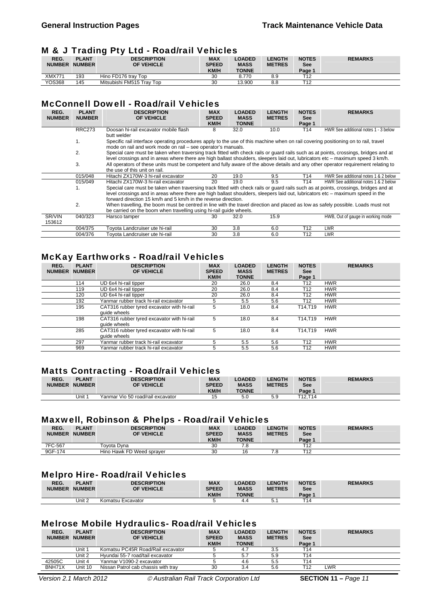# M & J Trading Pty Ltd - Road/rail Vehicles

| REG.<br><b>NUMBER</b> | <b>PLANT</b><br><b>NUMBER</b> | <b>DESCRIPTION</b><br>OF VEHICLE | <b>MAX</b><br><b>SPEED</b><br><b>KM/H</b> | <b>LOADED</b><br><b>MASS</b><br><b>TONNE</b> | <b>LENGTH</b><br><b>METRES</b> | <b>NOTES</b><br><b>See</b><br>Page 1 | <b>REMARKS</b> |
|-----------------------|-------------------------------|----------------------------------|-------------------------------------------|----------------------------------------------|--------------------------------|--------------------------------------|----------------|
| <b>XMX771</b>         | 193                           | Hino FD176 trav Top              | 30                                        | 8.770                                        | 8.9                            | T12                                  |                |
| <b>YOS368</b>         | 145                           | Mitsubishi FM515 Tray Top        | 30                                        | 13.900                                       | 8.8                            | T <sub>12</sub>                      |                |

# McConnell Dowell - Road/rail Vehicles

| REG.<br><b>NUMBER</b> | <b>PLANT</b><br><b>NUMBER</b> | <b>DESCRIPTION</b><br>OF VEHICLE                                                                                                                                                                                                                                        | <b>MAX</b><br><b>SPEED</b> | <b>LOADED</b><br><b>MASS</b> | <b>LENGTH</b><br><b>METRES</b> | <b>NOTES</b><br><b>See</b> | <b>REMARKS</b>                       |
|-----------------------|-------------------------------|-------------------------------------------------------------------------------------------------------------------------------------------------------------------------------------------------------------------------------------------------------------------------|----------------------------|------------------------------|--------------------------------|----------------------------|--------------------------------------|
|                       |                               |                                                                                                                                                                                                                                                                         | KM/H                       | <b>TONNE</b>                 |                                | Page 1                     |                                      |
|                       | <b>RRC273</b>                 | Doosan hi-rail excavator mobile flash<br>butt welder                                                                                                                                                                                                                    | 8                          | 32.0                         | 10.0                           | T14                        | HWR See additional notes 1 - 3 below |
|                       | 1.                            | Specific rail interface operating procedures apply to the use of this machine when on rail covering positioning on to rail, travel<br>mode on rail and work mode on rail - see operator's manuals.                                                                      |                            |                              |                                |                            |                                      |
|                       | 2.                            | Special care must be taken when traversing track fitted with check rails or guard rails such as at points, crossings, bridges and at<br>level crossings and in areas where there are high ballast shoulders, sleepers laid out, lubricators etc – maximum speed 3 km/h. |                            |                              |                                |                            |                                      |
|                       | 3.                            | All operators of these units must be competent and fully aware of the above details and any other operator requirement relating to<br>the use of this unit on rail.                                                                                                     |                            |                              |                                |                            |                                      |
|                       | 015/048                       | Hitachi ZX170W-3 hi-rail excavator                                                                                                                                                                                                                                      | 20                         | 19.0                         | 9.5                            | T14                        | HWR See additional notes 1 & 2 below |
|                       | 015/049                       | Hitachi ZX170W-3 hi-rail excavator                                                                                                                                                                                                                                      | 20                         | 19.0                         | 9.5                            | T14                        | HWR See additional notes 1 & 2 below |
|                       |                               | Special care must be taken when traversing track fitted with check rails or guard rails such as at points, crossings, bridges and at                                                                                                                                    |                            |                              |                                |                            |                                      |
|                       |                               | level crossings and in areas where there are high ballast shoulders, sleepers laid out, lubricators etc – maximum speed in the<br>forward direction 15 km/h and 5 km/h in the reverse direction.                                                                        |                            |                              |                                |                            |                                      |
|                       | 2.                            | When travelling, the boom must be centred in line with the travel direction and placed as low as safely possible. Loads must not                                                                                                                                        |                            |                              |                                |                            |                                      |
|                       |                               | be carried on the boom when travelling using hi-rail quide wheels.                                                                                                                                                                                                      |                            |                              |                                |                            |                                      |
| SR/VIN<br>153612      | 040/323                       | Harsco tamper                                                                                                                                                                                                                                                           | 30                         | 32.0                         | 15.9                           |                            | HWB, Out of gauge in working mode    |
|                       | 004/375                       | Toyota Landcruiser ute hi-rail                                                                                                                                                                                                                                          | 30                         | 3.8                          | 6.0                            | T12                        | <b>LWR</b>                           |
|                       | 004/376                       | Tovota Landcruiser ute hi-rail                                                                                                                                                                                                                                          | 30                         | 3.8                          | 6.0                            | T12                        | <b>LWR</b>                           |

# McKay Earthworks - Road/rail Vehicles

| REG.<br><b>PLANT</b><br><b>NUMBER</b><br><b>NUMBER</b> | <b>DESCRIPTION</b><br>OF VEHICLE                           | <b>MAX</b><br><b>SPEED</b><br>KM/H | <b>LOADED</b><br><b>MASS</b><br><b>TONNE</b> | <b>LENGTH</b><br><b>METRES</b> | <b>NOTES</b><br><b>See</b><br>Page 1 | <b>REMARKS</b> |
|--------------------------------------------------------|------------------------------------------------------------|------------------------------------|----------------------------------------------|--------------------------------|--------------------------------------|----------------|
| 114                                                    | UD 6x4 hi-rail tipper                                      | 20                                 | 26.0                                         | 8.4                            | T <sub>12</sub>                      | <b>HWR</b>     |
| 119                                                    | UD 6x4 hi-rail tipper                                      | 20                                 | 26.0                                         | 8.4                            | T <sub>12</sub>                      | <b>HWR</b>     |
| 120                                                    | UD 6x4 hi-rail tipper                                      | 20                                 | 26.0                                         | 8.4                            | T <sub>12</sub>                      | <b>HWR</b>     |
| 192                                                    | Yanmar rubber track hi-rail excavator                      | 5                                  | 5.5                                          | 5.6                            | T12                                  | <b>HWR</b>     |
| 195                                                    | CAT316 rubber tyred excavator with hi-rail<br>quide wheels | 5                                  | 18.0                                         | 8.4                            | T14.T19                              | <b>HWR</b>     |
| 198                                                    | CAT316 rubber tyred excavator with hi-rail<br>quide wheels | 5                                  | 18.0                                         | 8.4                            | T14.T19                              | <b>HWR</b>     |
| 285                                                    | CAT316 rubber tyred excavator with hi-rail<br>quide wheels | 5                                  | 18.0                                         | 8.4                            | T14.T19                              | <b>HWR</b>     |
| 297                                                    | Yanmar rubber track hi-rail excavator                      | 5                                  | 5.5                                          | 5.6                            | T <sub>12</sub>                      | <b>HWR</b>     |
| 969                                                    | Yanmar rubber track hi-rail excavator                      | 5                                  | 5.5                                          | 5.6                            | T12                                  | <b>HWR</b>     |

# Matts Contracting - Road/rail Vehicles

| REG.<br><b>NUMBER</b> | <b>PLANT</b><br><b>NUMBER</b> | <b>DESCRIPTION</b><br><b>OF VEHICLE</b> | <b>MAX</b><br><b>SPEED</b><br><b>KM/H</b> | <b>LOADED</b><br><b>MASS</b><br><b>TONNE</b> | L <b>ENGTH</b><br><b>METRES</b> | <b>NOTES</b><br>See<br>Page ' | <b>REMARKS</b> |
|-----------------------|-------------------------------|-----------------------------------------|-------------------------------------------|----------------------------------------------|---------------------------------|-------------------------------|----------------|
|                       | Unit 1                        | Yanmar Vio 50 road/rail excavator       |                                           | 5.C                                          | БΩ<br>v.c                       | T12 T14                       |                |

## Maxwell, Robinson & Phelps - Road/rail Vehicles

| REG.<br><b>NUMBER</b> | <b>PLANT</b><br><b>NUMBER</b> | <b>DESCRIPTION</b><br>OF VEHICLE | <b>MAX</b><br><b>SPEED</b><br><b>KM/H</b> | <b>LOADED</b><br><b>MASS</b><br><b>TONNE</b> | <b>_ENGTH</b><br><b>METRES</b> | <b>NOTES</b><br>See<br>Page 1 | <b>REMARKS</b> |
|-----------------------|-------------------------------|----------------------------------|-------------------------------------------|----------------------------------------------|--------------------------------|-------------------------------|----------------|
| 7FC-567               |                               | Tovota Dvna                      | 30                                        | 7.8                                          |                                | T4 O                          |                |
| 9GF-174               |                               | Hino Hawk FD Weed sprayer        | 30                                        | 16                                           |                                | <b>TAO</b>                    |                |

## Melpro Hire- Road/rail Vehicles

| REG.<br><b>NUMBER</b> | <b>PLANT</b><br><b>NUMBER</b> | <b>DESCRIPTION</b><br>OF VEHICLE | <b>MAX</b><br><b>SPEED</b><br><b>KM/H</b> | <b>LOADED</b><br><b>MASS</b><br><b>TONNE</b> | <b>LENGTH</b><br><b>METRES</b> | <b>NOTES</b><br>See<br>Page 1 | <b>REMARKS</b> |
|-----------------------|-------------------------------|----------------------------------|-------------------------------------------|----------------------------------------------|--------------------------------|-------------------------------|----------------|
|                       | Unit 2                        | Komatsu Excavator                |                                           | 4.4                                          | ь.<br>J.                       | T14                           |                |

#### Melrose Mobile Hydraulics- Road/rail Vehicles

| REG.<br><b>NUMBER</b> | <b>PLANT</b><br><b>NUMBER</b> | <b>DESCRIPTION</b><br>OF VEHICLE    | <b>MAX</b><br><b>SPEED</b><br>KM/H | <b>LOADED</b><br><b>MASS</b><br><b>TONNE</b> | <b>LENGTH</b><br><b>METRES</b> | <b>NOTES</b><br><b>See</b><br>Page 1 | <b>REMARKS</b> |
|-----------------------|-------------------------------|-------------------------------------|------------------------------------|----------------------------------------------|--------------------------------|--------------------------------------|----------------|
|                       | Unit '                        | Komatsu PC45R Road/Rail excavator   |                                    | 4.7                                          | 3.5                            | T14                                  |                |
|                       | Unit 2                        | Hyundai 55-7 road/tail excavator    |                                    | 5.7                                          | 5.9                            | T14                                  |                |
| 42505C                | Unit 4                        | Yanmar V1090-2 excavator            |                                    | 4.6                                          | 5.5                            | T14                                  |                |
| BNH71X                | Unit 10                       | Nissan Patrol cab chassis with trav | 30                                 | 3.4                                          | 5.6                            | T12                                  | LWR            |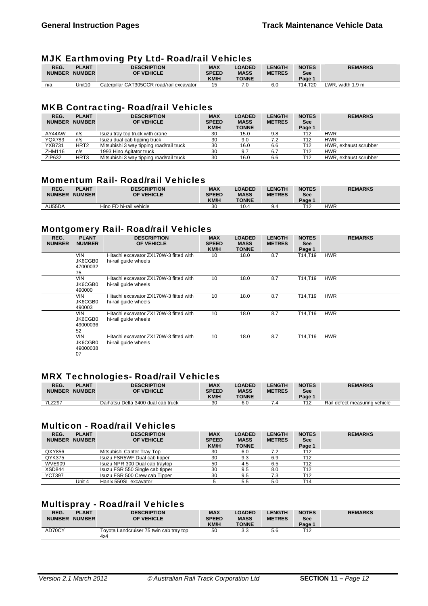## MJK Earthmoving Pty Ltd- Road/rail Vehicles

| REG.          | <b>PLANT</b>  | <b>DESCRIPTION</b>                        | <b>MAX</b>   | <b>LOADED</b> | <b>_ENGTH</b> | <b>NOTES</b> | <b>REMARKS</b>             |
|---------------|---------------|-------------------------------------------|--------------|---------------|---------------|--------------|----------------------------|
| <b>NUMBER</b> | <b>NUMBER</b> | OF VEHICLE                                | <b>SPEED</b> | <b>MASS</b>   | <b>METRES</b> | See          |                            |
|               |               |                                           |              |               |               |              |                            |
|               |               |                                           | <b>KM/H</b>  | <b>TONNE</b>  |               | Page 1       |                            |
| n/a           | Unit10        | Caterpillar CAT305CCR road/rail excavator | 15           | 70            | 6.C           | T14.T20      | LWR, width $1.9 \text{ m}$ |
|               |               |                                           |              |               |               |              |                            |

## MKB Contracting- Road/rail Vehicles

| REG.<br><b>NUMBER</b> | <b>PLANT</b><br><b>NUMBER</b> | -<br><b>DESCRIPTION</b><br>OF VEHICLE    | <b>MAX</b><br><b>SPEED</b><br><b>KM/H</b> | <b>LOADED</b><br><b>MASS</b><br><b>TONNE</b> | <b>LENGTH</b><br><b>METRES</b> | <b>NOTES</b><br>See<br>Page 1 | <b>REMARKS</b>        |
|-----------------------|-------------------------------|------------------------------------------|-------------------------------------------|----------------------------------------------|--------------------------------|-------------------------------|-----------------------|
| AY44AW                | n/s                           | Isuzu tray top truck with crane          | 30                                        | 15.0                                         | 9.8                            | T12                           | <b>HWR</b>            |
| <b>YQX783</b>         | n/s                           | Isuzu dual cab tipping truck             | 30                                        | 9.0                                          | 7.2                            | T12                           | <b>HWR</b>            |
| <b>YXB731</b>         | HRT <sub>2</sub>              | Mitsubishi 3 way tipping road/rail truck | 30                                        | 16.0                                         | 6.6                            | T12                           | HWR, exhaust scrubber |
| ZHM116                | n/s                           | 1993 Hino Agitator truck                 | 30                                        | 9.7                                          | 6.7                            | T12                           | <b>HWR</b>            |
| ZIP632                | HRT <sub>3</sub>              | Mitsubishi 3 way tipping road/rail truck | 30                                        | 16.0                                         | 6.6                            | T12                           | HWR, exhaust scrubber |

# Momentum Rail- Road/rail Vehicles

| REG.<br><b>NUMBER</b> | <b>PLANT</b><br><b>NUMBER</b> | <b>DESCRIPTION</b><br><b>OF VEHICLE</b> | <b>MAX</b><br><b>SPEED</b><br><b>KM/H</b> | <b>LOADED</b><br><b>MASS</b><br><b>TONNE</b> | <b>LENGTH</b><br><b>METRES</b> | <b>NOTES</b><br><b>See</b><br>Page ' | <b>REMARKS</b> |
|-----------------------|-------------------------------|-----------------------------------------|-------------------------------------------|----------------------------------------------|--------------------------------|--------------------------------------|----------------|
| AU55DA                |                               | Hino FD hi-rail vehicle                 | 30                                        | 10.4                                         | 9.4                            | <b>T10</b>                           | <b>HWR</b>     |

# Montgomery Rail- Road/rail Vehicles

| ~<br>REG.<br><b>NUMBER</b> | -<br><b>PLANT</b><br><b>NUMBER</b>      | <b>DESCRIPTION</b><br>OF VEHICLE                               | <b>MAX</b><br><b>SPEED</b><br><b>KM/H</b> | <b>LOADED</b><br><b>MASS</b><br><b>TONNE</b> | <b>LENGTH</b><br><b>METRES</b> | <b>NOTES</b><br><b>See</b><br>Page 1 | <b>REMARKS</b> |
|----------------------------|-----------------------------------------|----------------------------------------------------------------|-------------------------------------------|----------------------------------------------|--------------------------------|--------------------------------------|----------------|
|                            | <b>VIN</b><br>JK6CGB0<br>47000032<br>75 | Hitachi excavator ZX170W-3 fitted with<br>hi-rail quide wheels | 10                                        | 18.0                                         | 8.7                            | T14,T19                              | <b>HWR</b>     |
|                            | <b>VIN</b><br>JK6CGB0<br>490000         | Hitachi excavator ZX170W-3 fitted with<br>hi-rail quide wheels | 10                                        | 18.0                                         | 8.7                            | T14,T19                              | <b>HWR</b>     |
|                            | <b>VIN</b><br>JK6CGB0<br>490003         | Hitachi excavator ZX170W-3 fitted with<br>hi-rail quide wheels | 10                                        | 18.0                                         | 8.7                            | T14.T19                              | <b>HWR</b>     |
|                            | <b>VIN</b><br>JK6CGB0<br>49000036<br>52 | Hitachi excavator ZX170W-3 fitted with<br>hi-rail quide wheels | 10                                        | 18.0                                         | 8.7                            | T14,T19                              | <b>HWR</b>     |
|                            | <b>VIN</b><br>JK6CGB0<br>49000038<br>07 | Hitachi excavator ZX170W-3 fitted with<br>hi-rail quide wheels | 10                                        | 18.0                                         | 8.7                            | T14,T19                              | <b>HWR</b>     |

# MRX Technologies- Road/rail Vehicles

| REG.<br><b>NUMBER</b> | <b>PLANT</b><br><b>NUMBER</b> | <b>DESCRIPTION</b><br>OF VEHICLE   | <b>MAX</b><br><b>SPEED</b><br><b>KM/H</b> | <b>LOADED</b><br><b>MASS</b><br><b>TONNE</b> | <b>.ENGTH</b><br><b>METRES</b> | <b>NOTES</b><br>See<br>Page 1 | <b>REMARKS</b>                |
|-----------------------|-------------------------------|------------------------------------|-------------------------------------------|----------------------------------------------|--------------------------------|-------------------------------|-------------------------------|
| 7LZ297                |                               | Daihatsu Delta 3400 dual cab truck | 30                                        | 6.0                                          |                                | T40                           | Rail defect measuring vehicle |

## Multicon - Road/rail Vehicles

| REG.<br><b>NUMBER</b> | <b>PLANT</b><br><b>NUMBER</b> | <b>DESCRIPTION</b><br>OF VEHICLE | <b>MAX</b><br><b>SPEED</b> | <b>LOADED</b><br><b>MASS</b> | <b>LENGTH</b><br><b>METRES</b> | <b>NOTES</b><br>See | <b>REMARKS</b> |
|-----------------------|-------------------------------|----------------------------------|----------------------------|------------------------------|--------------------------------|---------------------|----------------|
|                       |                               |                                  | <b>KM/H</b>                | <b>TONNE</b>                 |                                | Page 1              |                |
| QXY856                |                               | Mitsubishi Canter Tray Top       | 30                         | 6.0                          | 7.2                            | T <sub>12</sub>     |                |
| QYK375                |                               | Isuzu FSR5WF Dual cab tipper     | 30                         | 9.3                          | 6.9                            | T12                 |                |
| <b>WVE909</b>         |                               | Isuzu NPR 300 Dual cab traytop   | 50                         | 4.5                          | 6.5                            | T12                 |                |
| XSD844                |                               | Isuzu FSR 550 Single cab tipper  | 30                         | 9.5                          | 8.0                            | T12                 |                |
| <b>YCT397</b>         |                               | Isuzu FSR 500 Crew cab Tipper    | 30                         | 9.5                          | 7.3                            | T12                 |                |
|                       | Unit 4                        | Hanix 550SL excavator            |                            | 5.5                          | 5.0                            | T14                 |                |

# Multispray - Road/rail Vehicles

| REG.<br><b>NUMBER</b> | <b>PLANT</b><br><b>NUMBER</b> | <b>DESCRIPTION</b><br>OF VEHICLE               | <b>MAX</b><br><b>SPEED</b><br><b>KM/H</b> | <b>LOADED</b><br><b>MASS</b><br><b>TONNE</b> | <b>LENGTH</b><br><b>METRES</b> | <b>NOTES</b><br>See<br>Page ' | <b>REMARKS</b> |
|-----------------------|-------------------------------|------------------------------------------------|-------------------------------------------|----------------------------------------------|--------------------------------|-------------------------------|----------------|
| AD70CY                |                               | Toyota Landcruiser 75 twin cab tray top<br>4x4 | 50                                        | 3.3                                          | 5.6                            | $12^{-}$                      |                |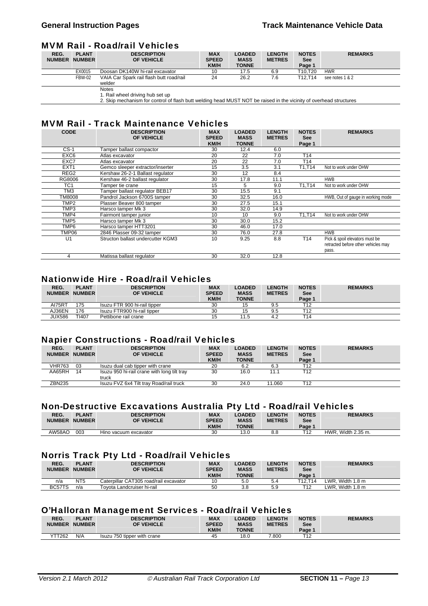#### MVM Rail - Road/rail Vehicles

| REG.<br><b>NUMBER</b> | <b>PLANT</b><br><b>NUMBER</b> | <b>DESCRIPTION</b><br>OF VEHICLE                   | <b>MAX</b><br><b>SPEED</b><br><b>KM/H</b> | <b>LOADED</b><br><b>MASS</b><br><b>TONNE</b> | <b>LENGTH</b><br><b>METRES</b> | <b>NOTES</b><br>See<br>Page 1 | <b>REMARKS</b>  |
|-----------------------|-------------------------------|----------------------------------------------------|-------------------------------------------|----------------------------------------------|--------------------------------|-------------------------------|-----------------|
|                       | EX0015                        | Doosan DK140W hi-rail excavator                    | 10                                        | 17.5                                         | 6.9                            | T10.T20                       | <b>HWR</b>      |
|                       | <b>FBW-02</b>                 | VAIA Car Spark rail flash butt road/rail<br>welder | 24                                        | 26.2                                         | 7.6                            | T12.T14                       | see notes 1 & 2 |
|                       |                               | <b>Notes</b>                                       |                                           |                                              |                                |                               |                 |
|                       |                               | 1. Rail wheel driving hub set up                   |                                           |                                              |                                |                               |                 |

1. Rail wheel driving hub set up 2. Skip mechanism for control of flash butt welding head MUST NOT be raised in the vicinity of overhead structures

# MVM Rail - Track Maintenance Vehicles

| <b>CODE</b>      | <b>DESCRIPTION</b><br>OF VEHICLE  | <b>MAX</b><br><b>SPEED</b><br><b>KM/H</b> | <b>LOADED</b><br><b>MASS</b><br><b>TONNE</b> | <b>LENGTH</b><br><b>METRES</b> | <b>NOTES</b><br><b>See</b><br>Page 1 | <b>REMARKS</b>                                                                 |
|------------------|-----------------------------------|-------------------------------------------|----------------------------------------------|--------------------------------|--------------------------------------|--------------------------------------------------------------------------------|
| $CS-1$           | Tamper ballast compactor          | 30                                        | 12.4                                         | 6.0                            |                                      |                                                                                |
| EXC6             | Atlas excavator                   | 20                                        | 22                                           | 7.0                            | T <sub>14</sub>                      |                                                                                |
| EXC7             | Atlas excavator                   | 20                                        | 22                                           | 7.0                            | T <sub>14</sub>                      |                                                                                |
| EXT <sub>1</sub> | Gemco sleeper extractor/inserter  | 15                                        | 3.5                                          | 3.1                            | T1,T14                               | Not to work under OHW                                                          |
| REG2             | Kershaw 26-2-1 Ballast regulator  | 30                                        | 12                                           | 8.4                            |                                      |                                                                                |
| RG8006           | Kershaw 46-2 ballast regulator    | 30                                        | 17.8                                         | 11.1                           |                                      | <b>HWB</b>                                                                     |
| TC <sub>1</sub>  | Tamper tie crane                  | 15                                        | 5                                            | 9.0                            | T1.T14                               | Not to work under OHW                                                          |
| TM <sub>3</sub>  | Tamper ballast regulator BEB17    | 30                                        | 15.5                                         | 9.1                            |                                      |                                                                                |
| TM8008           | Pandrol Jackson 6700S tamper      | 30                                        | 32.5                                         | 16.0                           |                                      | HWB, Out of gauge in working mode                                              |
| TMP2             | Plasser Beaver 800 tamper         | 30                                        | 27.5                                         | 15.1                           |                                      |                                                                                |
| TMP3             | Harsco tamper Mk 3                | 30                                        | 32.0                                         | 14.9                           |                                      |                                                                                |
| TMP4             | Fairmont tamper junior            | 10                                        | 10                                           | 9.0                            | T1,T14                               | Not to work under OHW                                                          |
| TMP <sub>5</sub> | Harsco tamper Mk 3                | 30                                        | 30.0                                         | 15.2                           |                                      |                                                                                |
| TMP6             | Harsco tamper HTT3201             | 30                                        | 46.0                                         | 17.0                           |                                      |                                                                                |
| TMP06            | 2846 Plasser 09-32 tamper         | 30                                        | 76.0                                         | 27.8                           |                                      | <b>HWB</b>                                                                     |
| U <sub>1</sub>   | Structon ballast undercutter KGM3 | 10                                        | 9.25                                         | 8.8                            | T <sub>14</sub>                      | Pick & spoil elevators must be<br>retracted before other vehicles may<br>pass. |
| 4                | Matissa ballast regulator         | 30                                        | 32.0                                         | 12.8                           |                                      |                                                                                |

# Nationwide Hire - Road/rail Vehicles

| REG.<br><b>NUMBER</b> | <b>PLANT</b><br><b>NUMBER</b> | <b>DESCRIPTION</b><br>OF VEHICLE | <b>MAX</b><br><b>SPEED</b><br><b>KM/H</b> | <b>LOADED</b><br><b>MASS</b><br><b>TONNE</b> | <b>LENGTH</b><br><b>METRES</b> | <b>NOTES</b><br><b>See</b><br>Page 1 | <b>REMARKS</b> |
|-----------------------|-------------------------------|----------------------------------|-------------------------------------------|----------------------------------------------|--------------------------------|--------------------------------------|----------------|
| AI75RT                | 175                           | Isuzu FTR 900 hi-rail tipper     | 30                                        | 15                                           | 9.5                            | T12                                  |                |
| AJ36EN                | 176                           | Isuzu FTR900 hi-rail tipper      | 30                                        | 15                                           | 9.5                            | τ12−                                 |                |
| JUX586                | TI407                         | Pettibone rail crane             | 15                                        | 11.5                                         | 4.2                            | T14                                  |                |

#### Napier Constructions - Road/rail Vehicles

| REG.<br><b>NUMBER</b> | <b>PLANT</b><br><b>NUMBER</b> | <b>DESCRIPTION</b><br>OF VEHICLE                     | <b>MAX</b><br><b>SPEED</b><br><b>KM/H</b> | <b>LOADED</b><br><b>MASS</b><br><b>TONNE</b> | <b>LENGTH</b><br><b>METRES</b> | <b>NOTES</b><br>See<br>Page 1 | <b>REMARKS</b> |
|-----------------------|-------------------------------|------------------------------------------------------|-------------------------------------------|----------------------------------------------|--------------------------------|-------------------------------|----------------|
| <b>VHR763</b>         | 03                            | Isuzu dual cab tipper with crane                     | 20                                        | 6.2                                          | 6.3                            | T12                           |                |
| AA65RH                | 14                            | Isuzu 950 hi-rail crane with long tilt tray<br>truck | 30                                        | 16.0                                         | 11.1                           | T12                           |                |
| <b>ZBN235</b>         |                               | Isuzu FVZ 6x4 Tilt trav Road/rail truck              | 30                                        | 24.0                                         | 11.060                         | T12                           |                |

# Non-Destructive Excavations Australia Pty Ltd - Road/rail Vehicles

| REG.<br><b>NUMBER</b> | <b>PLANT</b><br><b>NUMBER</b> | <b>DESCRIPTION</b><br><b>OF VEHICLE</b> | <b>MAX</b><br><b>SPEED</b><br><b>KM/H</b> | LOADED<br><b>MASS</b><br><b>TONNE</b> | <b>LENGTH</b><br><b>METRES</b> | <b>NOTES</b><br><b>See</b><br>Page 1 | <b>REMARKS</b>     |
|-----------------------|-------------------------------|-----------------------------------------|-------------------------------------------|---------------------------------------|--------------------------------|--------------------------------------|--------------------|
| AW58AO                | 003                           | Hino vacuum excavator                   | 30                                        | 13.0                                  | 8.8                            | <b>T10</b>                           | HWR. Width 2.35 m. |

#### Norris Track Pty Ltd - Road/rail Vehicles

| REG.<br><b>NUMBER</b> | <b>PLANT</b><br><b>NUMBER</b> | <b>DESCRIPTION</b><br>OF VEHICLE       | <b>MAX</b><br><b>SPEED</b><br><b>KM/H</b> | <b>LOADED</b><br><b>MASS</b><br><b>TONNE</b> | <b>LENGTH</b><br><b>METRES</b> | <b>NOTES</b><br>See<br>Page 1 | <b>REMARKS</b>   |
|-----------------------|-------------------------------|----------------------------------------|-------------------------------------------|----------------------------------------------|--------------------------------|-------------------------------|------------------|
| n/a                   | NT <sub>5</sub>               | Caterpillar CAT305 road/rail excavator | 10                                        | 5.C                                          | 5.4                            | T12.T14                       | LWR. Width 1.8 m |
| BC57TS                | n/a                           | Tovota Landcruiser hi-rail             | 50                                        | 3.8                                          | 5.9                            | T12                           | LWR. Width 1.8 m |

# O'Halloran Management Services - Road/rail Vehicles

| <b>REMARKS</b> |
|----------------|
|                |
|                |
|                |
|                |
|                |
|                |
|                |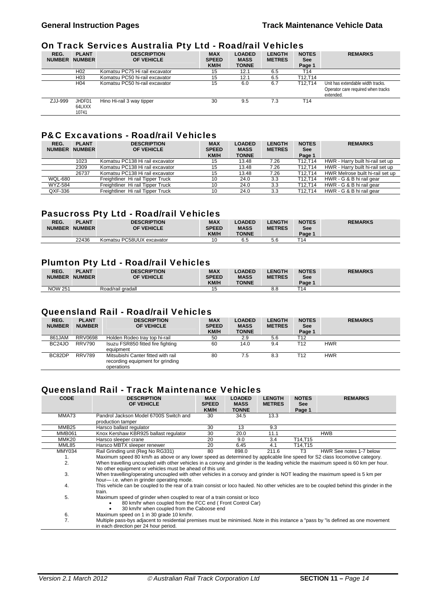# On Track Services Australia Pty Ltd - Road/rail Vehicles

|                       | ----                          |                                  |                                    |                                              |                                |                                      |                                                                                      |  |  |  |  |
|-----------------------|-------------------------------|----------------------------------|------------------------------------|----------------------------------------------|--------------------------------|--------------------------------------|--------------------------------------------------------------------------------------|--|--|--|--|
| REG.<br><b>NUMBER</b> | <b>PLANT</b><br><b>NUMBER</b> | <b>DESCRIPTION</b><br>OF VEHICLE | <b>MAX</b><br><b>SPEED</b><br>KM/H | <b>LOADED</b><br><b>MASS</b><br><b>TONNE</b> | <b>LENGTH</b><br><b>METRES</b> | <b>NOTES</b><br><b>See</b><br>Page 1 | <b>REMARKS</b>                                                                       |  |  |  |  |
|                       | H <sub>02</sub>               | Komatsu PC75 Hi rail excavator   | 15                                 | 12.1                                         | 6.5                            | T14                                  |                                                                                      |  |  |  |  |
|                       | H <sub>03</sub>               | Komatsu PC50 hi-rail excavator   | 15                                 | 12.1                                         | 6.5                            | T12.T14                              |                                                                                      |  |  |  |  |
|                       | H <sub>04</sub>               | Komatsu PC50 hi-rail excavator   | 15                                 | 6.0                                          | 6.7                            | T12.T14                              | Unit has extendable width tracks.<br>Operator care required when tracks<br>extended. |  |  |  |  |
| ZJJ-999               | JHDFD1<br>64LXXX<br>10741     | Hino Hi-rail 3 way tipper        | 30                                 | 9.5                                          | 7.3                            | T <sub>14</sub>                      |                                                                                      |  |  |  |  |

# P&C Excavations - Road/rail Vehicles

| REG.<br><b>NUMBER</b> | <b>PLANT</b><br><b>NUMBER</b> | <b>DESCRIPTION</b><br>OF VEHICLE  | <b>MAX</b><br><b>SPEED</b><br><b>KM/H</b> | <b>LOADED</b><br><b>MASS</b><br><b>TONNE</b> | <b>LENGTH</b><br><b>METRES</b> | <b>NOTES</b><br><b>See</b><br>Page 1 | <b>REMARKS</b>                   |
|-----------------------|-------------------------------|-----------------------------------|-------------------------------------------|----------------------------------------------|--------------------------------|--------------------------------------|----------------------------------|
|                       | 1023                          | Komatsu PC138 Hi rail excavator   | 15                                        | 13.48                                        | 7.26                           | T12.T14                              | HWR - Harry built hi-rail set up |
|                       | 2309                          | Komatsu PC138 Hi rail excavator   | 15                                        | 13.48                                        | 7.26                           | T12.T14                              | HWR - Harry built hi-rail set up |
|                       | 26737                         | Komatsu PC138 Hi rail excavator   | 15                                        | 13.48                                        | 7.26                           | T12.T14                              | HWR Melrose built hi-rail set up |
| <b>WQL-680</b>        |                               | Freightliner Hi rail Tipper Truck | 10                                        | 24.0                                         | 3.3                            | T12.T14                              | HWR - G & B hi rail gear         |
| <b>WYZ-584</b>        |                               | Freightliner Hi rail Tipper Truck | 10                                        | 24.0                                         | 3.3                            | T12.T14                              | HWR - G & B hi rail gear         |
| QXF-336               |                               | Freightliner Hi rail Tipper Truck | 10                                        | 24.0                                         | 3.3                            | T12.T14                              | HWR - G & B hi rail gear         |

# Pasucross Pty Ltd - Road/rail Vehicles

| REG.<br><b>NUMBER</b> | <b>PLANT</b><br><b>NUMBER</b> | <b>DESCRIPTION</b><br>OF VEHICLE | <b>MAX</b><br><b>SPEED</b><br><b>KM/H</b> | <b>LOADED</b><br><b>MASS</b><br><b>TONNE</b> | <b>LENGTH</b><br><b>METRES</b> | <b>NOTES</b><br><b>See</b><br>Page ' | <b>REMARKS</b> |
|-----------------------|-------------------------------|----------------------------------|-------------------------------------------|----------------------------------------------|--------------------------------|--------------------------------------|----------------|
|                       | 22436                         | Komatsu PC58UUX excavator        | 10                                        | 6.5                                          | 56<br>J.U                      | T14                                  |                |

#### Plumton Pty Ltd - Road/rail Vehicles

| REG.<br><b>NUMBER</b> | <b>PLANT</b><br><b>NUMBER</b> | <b>DESCRIPTION</b><br><b>OF VEHICLE</b> | <b>MAX</b><br><b>SPEED</b><br><b>KM/H</b> | <b>LOADED</b><br><b>MASS</b><br><b>TONNE</b> | <b>LENGTH</b><br><b>METRES</b> | <b>NOTES</b><br>See<br>Page 1 | <b>REMARKS</b> |
|-----------------------|-------------------------------|-----------------------------------------|-------------------------------------------|----------------------------------------------|--------------------------------|-------------------------------|----------------|
| <b>NOW 251</b>        |                               | Road/rail gradall                       |                                           |                                              | 8.8                            | T14                           |                |

# Queensland Rail - Road/rail Vehicles

| REG.<br><b>NUMBER</b> | <b>PLANT</b><br><b>NUMBER</b> | <b>DESCRIPTION</b><br>OF VEHICLE                                                     | <b>MAX</b><br><b>SPEED</b><br><b>KM/H</b> | <b>LOADED</b><br><b>MASS</b><br><b>TONNE</b> | <b>LENGTH</b><br><b>METRES</b> | <b>NOTES</b><br>See<br>Page 1 | <b>REMARKS</b> |
|-----------------------|-------------------------------|--------------------------------------------------------------------------------------|-------------------------------------------|----------------------------------------------|--------------------------------|-------------------------------|----------------|
| 861JAM                | <b>RRV0698</b>                | Holden Rodeo tray top hi-rail                                                        | 50                                        | 2.9                                          | 5.6                            | T12                           |                |
| BC24JO                | <b>RRV790</b>                 | Isuzu FSR850 fitted fire fighting<br>equipment                                       | 60                                        | 14.0                                         | 9.4                            | T <sub>12</sub>               | <b>HWR</b>     |
| BC82DP                | <b>RRV789</b>                 | Mitsubishi Canter fitted with rail<br>recording equipment for grinding<br>operations | 80                                        | 7.5                                          | 8.3                            | T12                           | <b>HWR</b>     |

# Queensland Rail - Track Maintenance Vehicles

| <b>CODE</b>       | <b>DESCRIPTION</b>                                                                                                                                                                              | <b>MAX</b>           | <b>LOADED</b>               | <b>LENGTH</b> | <b>NOTES</b>         | <b>REMARKS</b>          |  |  |
|-------------------|-------------------------------------------------------------------------------------------------------------------------------------------------------------------------------------------------|----------------------|-----------------------------|---------------|----------------------|-------------------------|--|--|
|                   | <b>OF VEHICLE</b>                                                                                                                                                                               | <b>SPEED</b><br>KM/H | <b>MASS</b><br><b>TONNE</b> | <b>METRES</b> | <b>See</b><br>Page 1 |                         |  |  |
| MMA73             | Pandrol Jackson Model 6700S Switch and<br>production tamper                                                                                                                                     | 30                   | 34.5                        | 13.3          |                      |                         |  |  |
| MMB <sub>25</sub> | Harsco ballast regulator                                                                                                                                                                        | 30                   | 13                          | 9.3           |                      |                         |  |  |
| <b>MMB061</b>     | Knox Kershaw KBR925 ballast regulator                                                                                                                                                           | 30                   | 20.0                        | 11.1          |                      | <b>HWB</b>              |  |  |
| MMK20             | Harsco sleeper crane                                                                                                                                                                            | 20                   | 9.0                         | 3.4           | T14,T15              |                         |  |  |
| MML85             | Harsco MBTX sleeper renewer                                                                                                                                                                     | 20                   | 6.45                        | 4.1           | T14,T15              |                         |  |  |
| <b>MMY034</b>     | Rail Grinding unit (Reg No RG331)                                                                                                                                                               | 80                   | 898.0                       | 211.6         | T <sub>3</sub>       | HWR See notes 1-7 below |  |  |
| 1.                | Maximum speed 80 km/h as above or any lower speed as determined by applicable line speed for S2 class locomotive category.                                                                      |                      |                             |               |                      |                         |  |  |
| 2.                | When travelling uncoupled with other vehicles in a convoy and grinder is the leading vehicle the maximum speed is 60 km per hour.<br>No other equipment or vehicles must be ahead of this unit. |                      |                             |               |                      |                         |  |  |
| 3.                | When travelling/operating uncoupled with other vehicles in a convoy and grinder is NOT leading the maximum speed is 5 km per<br>hour— i.e. when in grinder operating mode.                      |                      |                             |               |                      |                         |  |  |
| 4.                | This vehicle can be coupled to the rear of a train consist or loco hauled. No other vehicles are to be coupled behind this grinder in the<br>train.                                             |                      |                             |               |                      |                         |  |  |
| 5.                | Maximum speed of grinder when coupled to rear of a train consist or loco<br>80 km/hr when coupled from the FCC end (Front Control Car)<br>30 km/hr when coupled from the Caboose end            |                      |                             |               |                      |                         |  |  |
| 6.                | Maximum speed on 1 in 30 grade 10 km/hr.                                                                                                                                                        |                      |                             |               |                      |                         |  |  |
| 7.                | Multiple pass-bys adjacent to residential premises must be minimised. Note in this instance a "pass by "is defined as one movement<br>in each direction per 24 hour period.                     |                      |                             |               |                      |                         |  |  |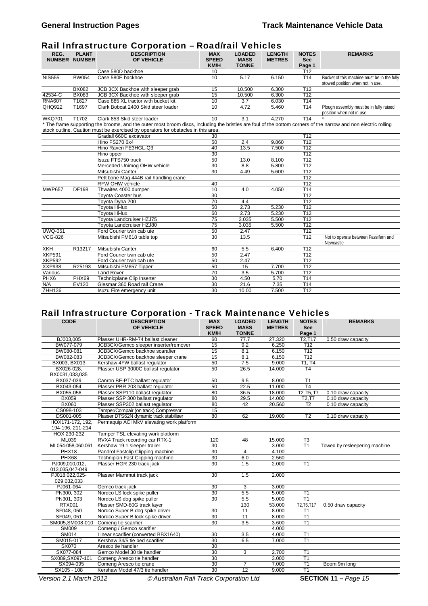# Rail Infrastructure Corporation – Road/rail Vehicles

| REG.             | <b>PLANT</b><br><b>NUMBER NUMBER</b> | <b>DESCRIPTION</b><br>OF VEHICLE                                                                                                                                | <b>MAX</b><br><b>SPEED</b><br><b>KM/H</b> | <b>LOADED</b><br><b>MASS</b><br><b>TONNE</b> | <b>LENGTH</b><br><b>METRES</b> | <b>NOTES</b><br><b>See</b><br>Page 1 | <b>REMARKS</b>                                                                  |
|------------------|--------------------------------------|-----------------------------------------------------------------------------------------------------------------------------------------------------------------|-------------------------------------------|----------------------------------------------|--------------------------------|--------------------------------------|---------------------------------------------------------------------------------|
|                  |                                      | Case 580D backhoe                                                                                                                                               | 10                                        |                                              |                                | T <sub>12</sub>                      |                                                                                 |
| <b>NIS555</b>    | <b>BW054</b>                         | Case 580E backhoe                                                                                                                                               | 10                                        | 5.17                                         | 6.150                          | T14                                  | Bucket of this machine must be in the fully<br>stowed position when not in use. |
|                  | <b>BX082</b>                         | JCB 3CX Backhoe with sleeper grab                                                                                                                               | 15                                        | 10.500                                       | 6.300                          | T12                                  |                                                                                 |
| 42534-C          | <b>BX083</b>                         | JCB 3CX Backhoe with sleeper grab                                                                                                                               | 15                                        | 10.500                                       | 6.300                          | T <sub>12</sub>                      |                                                                                 |
| <b>RNA607</b>    | T1627                                | Case 885 XL tractor with bucket kit.                                                                                                                            | 10                                        | 3.7                                          | 6.030                          | T14                                  |                                                                                 |
| QHQ922           | T1697                                | Clark Bobcat 2400 Skid steer loader                                                                                                                             | 10                                        | 4.72                                         | 5.460                          | T14                                  | Plough assembly must be in fully raised<br>position when not in use             |
| <b>WKQ701</b>    | T1702                                | Clark 853 Skid steer loader                                                                                                                                     | 10                                        | 3.1                                          | 4.270                          | T14                                  |                                                                                 |
|                  |                                      | * The frame supporting the brooms, and the outer most broom discs, including the bristles are foul of the bottom corners of the narrow and non electric rolling |                                           |                                              |                                |                                      |                                                                                 |
|                  |                                      | stock outline. Caution must be exercised by operators for obstacles in this area.                                                                               |                                           |                                              |                                |                                      |                                                                                 |
|                  |                                      | Gradall 660C excavator                                                                                                                                          | 30                                        |                                              |                                | T12                                  |                                                                                 |
|                  |                                      | <b>Hino FS270 6x4</b>                                                                                                                                           | 50                                        | 2.4                                          | 9.860                          | T12                                  |                                                                                 |
|                  |                                      | Hino Raven FE3HGL-Q3                                                                                                                                            | 40                                        | 13.5                                         | 7.500                          | T12                                  |                                                                                 |
|                  |                                      | Hino tipper                                                                                                                                                     | 30                                        |                                              |                                | T <sub>12</sub>                      |                                                                                 |
|                  |                                      | Isuzu FTS750 truck                                                                                                                                              | 50                                        | 13.0                                         | 8.100                          | T12                                  |                                                                                 |
|                  |                                      | Merceded Unimog OHW vehicle                                                                                                                                     | 30                                        | 8.8                                          | 5.800                          | T12                                  |                                                                                 |
|                  |                                      | Mitsubishi Canter                                                                                                                                               | 30                                        | 4.49                                         | 5.600                          | T12                                  |                                                                                 |
|                  |                                      | Pettibone Mag 444B rail handling crane                                                                                                                          |                                           |                                              |                                | T12                                  |                                                                                 |
|                  |                                      | <b>RFW OHW vehicle</b>                                                                                                                                          | 40                                        |                                              |                                | T <sub>12</sub>                      |                                                                                 |
| <b>MWP657</b>    | DF198                                | Thwaites 4000 dumper                                                                                                                                            | 10                                        | 4.0                                          | 4.050                          | T <sub>14</sub>                      |                                                                                 |
|                  |                                      | <b>Toyota Coaster bus</b>                                                                                                                                       | 30                                        |                                              |                                | T12                                  |                                                                                 |
|                  |                                      | Toyota Dyna 200                                                                                                                                                 | 70                                        | 4.4                                          |                                | T12                                  |                                                                                 |
|                  |                                      | Toyota Hi-lux                                                                                                                                                   | 50                                        | 2.73                                         | 5.230                          | T12                                  |                                                                                 |
|                  |                                      | Tovota Hi-lux                                                                                                                                                   | 60                                        | 2.73                                         | 5.230                          | T <sub>12</sub>                      |                                                                                 |
|                  |                                      | Toyota Landcruiser HZJ75                                                                                                                                        | 75                                        | 3.035                                        | 5.500                          | T12                                  |                                                                                 |
|                  |                                      | Tovota Landcruiser HZJ80                                                                                                                                        | 75                                        | 3.035                                        | 5.500                          | T12                                  |                                                                                 |
| <b>UWQ-051</b>   |                                      | Ford Courier twin cab ute                                                                                                                                       | 50                                        | 2.47                                         |                                | T <sub>12</sub>                      |                                                                                 |
| <b>VCG-826</b>   |                                      | Mitsubishi FM618 table top                                                                                                                                      | 30                                        | 13.5                                         |                                | T12                                  | Not to operate between Fassifern and<br>Newcastle                               |
| <b>XKH</b>       | R13217                               | Mitsubishi Canter                                                                                                                                               | 60                                        | 5.5                                          | 6.400                          | T <sub>12</sub>                      |                                                                                 |
| <b>XKP591</b>    |                                      | Ford Courier twin cab ute                                                                                                                                       | 50                                        | 2.47                                         |                                | T <sub>12</sub>                      |                                                                                 |
| <b>XKP592</b>    |                                      | Ford Courier twin cab ute                                                                                                                                       | 50                                        | 2.47                                         |                                | T12                                  |                                                                                 |
| <b>XXP938</b>    | R25193                               | Mitsubishi FM657 Tipper                                                                                                                                         | 50                                        | 15                                           | 7.700                          | T12                                  |                                                                                 |
| Various          |                                      | <b>Land Rover</b>                                                                                                                                               | 70                                        | 3.5                                          | 5.700                          | T12                                  |                                                                                 |
| PHX <sub>6</sub> | PHX69                                | Technicplane Clip Inserter                                                                                                                                      | 30                                        | 4.50                                         | 5.70                           | T <sub>14</sub>                      |                                                                                 |
| N/A              | EV120                                | Giesmar 360 Road rail Crane                                                                                                                                     | 30                                        | 21.6                                         | 7.35                           | T <sub>14</sub>                      |                                                                                 |
| ZHH136           |                                      | Isuzu Fire emergency unit                                                                                                                                       | 30                                        | 10.00                                        | 7.500                          | T12                                  |                                                                                 |

# Rail Infrastructure Corporation - Track Maintenance Vehicles

| <b>CODE</b>       | <b>DESCRIPTION</b><br>OF VEHICLE          | <b>MAX</b><br><b>SPEED</b> | <b>LOADED</b><br><b>MASS</b> | <b>LENGTH</b><br><b>METRES</b> | <b>NOTES</b><br><b>See</b>       | <b>REMARKS</b>                |
|-------------------|-------------------------------------------|----------------------------|------------------------------|--------------------------------|----------------------------------|-------------------------------|
|                   |                                           | KM/H                       | <b>TONNE</b>                 |                                | Page 1                           |                               |
| BJ003,005         | Plasser UHR-RM-74 ballast cleaner         | 60                         | 77.7                         | 27.320                         | T <sub>2</sub> , T <sub>17</sub> | $0.50$ draw capacity          |
| BW077-079         | JCB3CX/Gemco sleeper inserter/remover     | 15                         | 9.2                          | 6.250                          | T <sub>12</sub>                  |                               |
| BW080-081         | JCB3CX/Gemco backhoe scarafier            | 15                         | 8.1                          | 6.150                          | T12                              |                               |
| BW082-083         | JCB3CX/Gemco backhoe sleeper crane        | 15                         | 8.1                          | 6.150                          | T12                              |                               |
| BX003, BX013      | Kershaw 4FW ballast regulator             | 50                         | $\overline{7.5}$             | 9.000                          | T1, T4                           |                               |
| BX026-028,        | Plasser USP 3000C ballast regulator       | 50                         | 26.5                         | 14.000                         | T <sub>4</sub>                   |                               |
| BX0031,033,035    |                                           |                            |                              |                                |                                  |                               |
| BX037-039         | Canron BE-PTC ballast regulator           | 50                         | 9.5                          | 8.000                          | T1                               |                               |
| BX043-054         | Plasser PBR 203 ballast regulator         | 50                         | 22.5                         | 11.000                         | T <sub>4</sub>                   |                               |
| BX055-056         | Plasser SSP110 ballast regulator          | 80                         | 36.5                         | 18.000                         | T2, T5, T7                       | 0.10 draw capacity            |
| <b>BX059</b>      | Plasser SSP 300 ballast regulator         | 80                         | 29.5                         | 14.000                         | T2, T7                           | 0.10 draw capacity            |
| <b>BX060</b>      | Plasser SSP302 ballast regulator          | 80                         | 42                           | 20.560                         | T <sub>2</sub>                   | 0.10 draw capacity            |
| CS098-103         | Tamper/Compair (on track) Compressor      | 15                         |                              |                                |                                  |                               |
| DS001-005         | Plasser DTS62N dynamic track stabiliser   | 80                         | 62                           | 19.000                         | $\overline{12}$                  | 0.10 draw capacity            |
| HOX171-172. 192.  | Permaquip ACI MkV elevating work platform |                            |                              |                                |                                  |                               |
| 194-196, 211-214  |                                           |                            |                              |                                |                                  |                               |
| HOX 230-232       | Tamper TSL elevating work platform        |                            |                              |                                |                                  |                               |
| ML039             | RVX4 Track recording car RTX-1            | 120                        | 48                           | 15.000                         | T <sub>3</sub>                   |                               |
| ML054-058,060,061 | Kershaw 19.1 sleeper trailer              | 30                         |                              | 3.000                          | T1                               | Towed by resleepering machine |
| PHX18             | Pandrol Fastclip Clipping machine         | 30                         | 4                            | 4.100                          |                                  |                               |
| PHX68             | Techniplan Fast Clipping machine          | $\overline{30}$            | 6.0                          | 2.560                          |                                  |                               |
| PJ009,010,012,    | Plasser HGR 230 track jack                | 30                         | 1.5                          | 2.000                          | T1                               |                               |
| 013,035,047-049   |                                           |                            |                              |                                |                                  |                               |
| PJ018,022,025-    | Plasser Mammut track jack                 | 30                         | 1.5                          | 2.000                          |                                  |                               |
| 029,032,033       |                                           |                            |                              |                                |                                  |                               |
| PJ061-064         | Gemco track jack                          | 30                         | 3                            | 3.000                          |                                  |                               |
| PN300, 302        | Nordco LS lock spike puller               | 30                         | 5.5                          | 5.000                          | T1                               |                               |
| PN301, 303        | Nordco LS dog spike puller                | 30                         | 5.5                          | 5.000                          | T1                               |                               |
| <b>RTX001</b>     | Plasser SMD-80G track layer               |                            | 130                          | 53.000                         | T2, T6, T17                      | 0.50 draw capacity            |
| SF048, 050        | Nordco Super B dog spike driver           | $\overline{30}$            | 11                           | 8.000                          | T1                               |                               |
| SF049, 051        | Nordco Super B lock spike driver          | 30                         | 11                           | 8.000                          | T1                               |                               |
| SM005, SM008-010  | Comeng tie scarifier                      | $\overline{30}$            | 3.5                          | 3.600                          | $\overline{T1}$                  |                               |
| SM009             | Comeng / Gemco scarifier                  |                            |                              | 4.000                          |                                  |                               |
| SM014             | Linear scarifier (converted BBX1640)      | 30                         | 3.5                          | 4.000                          | T1                               |                               |
| SM015-017         | Kershaw 34/5 tie bed scarifier            | 30                         | 6.5                          | 7.000                          | T <sub>1</sub>                   |                               |
| <b>SX070</b>      | Aresco tie handler                        | 30                         |                              |                                |                                  |                               |
| SX077-084         | Gemco Model 30 tie handler                | 30                         | $\overline{3}$               | 2.700                          | $\overline{T1}$                  |                               |
| SX089, SX097-101  | Comeng Aresco tie handler                 | 30                         |                              | 3.000                          | T1                               |                               |
| SX094-095         | Comeng Aresco tie crane                   | $\overline{30}$            | 7                            | 7.000                          | T1                               | Boom 9m long                  |
| SX105 - 108       | Kershaw Model 47/3 tie handler            | 30                         | $\overline{12}$              | 9.000                          | $\overline{T1}$                  |                               |

*Version 2.1 March 2012 Bustralian Rail Track Corporation Ltd <b>SECTION 11 – Page 15*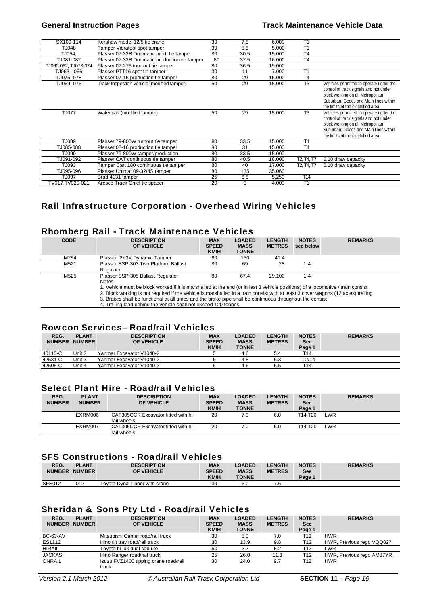| SX109-114            | Kershaw model 12/5 tie crane                  | 30 | 7.5  | 6.000  | T <sub>1</sub>  |                                                                                                                                                                                                        |
|----------------------|-----------------------------------------------|----|------|--------|-----------------|--------------------------------------------------------------------------------------------------------------------------------------------------------------------------------------------------------|
| TJ048                | Tamper Vibratool spot tamper                  | 30 | 5.5  | 5.000  | T <sub>1</sub>  |                                                                                                                                                                                                        |
| TJ054.               | Plasser 07-32B Duomatic prod. tie tamper      | 80 | 30.5 | 15.000 | <b>T4</b>       |                                                                                                                                                                                                        |
| TJ081-082            | Plasser 07-32B Duomatic production tie tamper | 80 | 37.5 | 16.000 | T <sub>4</sub>  |                                                                                                                                                                                                        |
| TJ060-062, TJ073-074 | Plasser 07-275 turn-out tie tamper            | 80 | 36.5 | 19.000 |                 |                                                                                                                                                                                                        |
| TJ063 - 066          | Plasser PTT16 spot tie tamper                 | 30 | 11   | 7.000  | T <sub>1</sub>  |                                                                                                                                                                                                        |
| TJ075, 078           | Plasser 07-16 production tie tamper           | 80 | 29   | 15.000 | T <sub>4</sub>  |                                                                                                                                                                                                        |
| TJ069, 076           | Track Inspection vehicle (modified tamper)    | 50 | 29   | 15.000 | T <sub>3</sub>  | Vehicles permitted to operate under the<br>control of track signals and not under<br>block working on all Metropolitan<br>Suburban, Goods and Main lines within<br>the limits of the electrified area. |
| <b>TJ077</b>         | Water cart (modified tamper)                  | 50 | 29   | 15.000 | T <sub>3</sub>  | Vehicles permitted to operate under the<br>control of track signals and not under<br>block working on all Metropolitan<br>Suburban, Goods and Main lines within<br>the limits of the electrified area. |
| TJ089                | Plasser 79-800W turnout tie tamper            | 80 | 33.5 | 15.000 | T <sub>4</sub>  |                                                                                                                                                                                                        |
| TJ085-088            | Plasser 08-16 production tie tamper           | 80 | 31   | 15.000 | T <sub>4</sub>  |                                                                                                                                                                                                        |
| TJ090                | Plasser 79-800W tamper/production             | 80 | 33.5 | 15.000 |                 |                                                                                                                                                                                                        |
| TJ091-092            | Plasser CAT continuous tie tamper             | 80 | 40.5 | 18.000 | T2, T4, T7      | 0.10 draw capacity                                                                                                                                                                                     |
| TJ093                | Tamper Cart 180 continuous tie tamper         | 80 | 40   | 17.000 | T2, T4, T7      | 0.10 draw capacity                                                                                                                                                                                     |
| TJ095-096            | Plasser Unimat 09-32/4S tamper                | 80 | 135  | 35.060 |                 |                                                                                                                                                                                                        |
| TJ097                | Brad 4131 tamper                              | 25 | 6.8  | 5.250  | T <sub>14</sub> |                                                                                                                                                                                                        |
| TV017,TV020-021      | Aresco Track Chief tie spacer                 | 20 | 3    | 4.000  | T1              |                                                                                                                                                                                                        |
|                      |                                               |    |      |        |                 |                                                                                                                                                                                                        |

# Rail Infrastructure Corporation - Overhead Wiring Vehicles

# Rhomberg Rail - Track Maintenance Vehicles

| <b>CODE</b> | <b>DESCRIPTION</b><br>OF VEHICLE                                                                                                                                                                                                                                                                                                                                                                                                                                                                  | <b>MAX</b><br><b>SPEED</b><br><b>KM/H</b> | <b>LOADED</b><br><b>MASS</b><br><b>TONNE</b> | <b>LENGTH</b><br><b>METRES</b> | <b>NOTES</b><br>see below | <b>REMARKS</b> |
|-------------|---------------------------------------------------------------------------------------------------------------------------------------------------------------------------------------------------------------------------------------------------------------------------------------------------------------------------------------------------------------------------------------------------------------------------------------------------------------------------------------------------|-------------------------------------------|----------------------------------------------|--------------------------------|---------------------------|----------------|
| M254        | Plasser 09-3X Dynamic Tamper                                                                                                                                                                                                                                                                                                                                                                                                                                                                      | 80                                        | 150                                          | 41.4                           |                           |                |
| M521        | Plasser SSP-303 Two Platform Ballast<br>Regulator                                                                                                                                                                                                                                                                                                                                                                                                                                                 | 80                                        | 69                                           | 28                             | $1 - 4$                   |                |
| M525        | Plasser SSP-305 Ballast Regulator<br>Notes<br>1. Vehicle must be block worked if it is marshalled at the end (or in last 3 vehicle positions) of a locomotive / train consist<br>2. Block working is not required if the vehicle is marshalled in a train consist with at least 3 cover wagons (12 axles) trailing<br>3. Brakes shall be functional at all times and the brake pipe shall be continuous throughout the consist<br>4. Trailing load behind the vehicle shall not exceed 120 tonnes | 80                                        | 67.4                                         | 29.100                         | $1 - 4$                   |                |

#### Rowcon Services– Road/rail Vehicles

| REG.<br><b>NUMBER</b> | <b>PLANT</b><br><b>NUMBER</b> | <b>DESCRIPTION</b><br>OF VEHICLE | <b>MAX</b><br><b>SPEED</b><br><b>KM/H</b> | <b>LOADED</b><br><b>MASS</b><br><b>TONNE</b> | <b>LENGTH</b><br><b>METRES</b> | <b>NOTES</b><br>See<br>Page 1 | <b>REMARKS</b> |
|-----------------------|-------------------------------|----------------------------------|-------------------------------------------|----------------------------------------------|--------------------------------|-------------------------------|----------------|
| 40115-C               | Unit 2                        | Yanmar Excavator V1040-2         |                                           | 4.6                                          | 5.4                            | T14                           |                |
| 42531-C               | Unit 3                        | Yanmar Excavator V1040-2         |                                           | 4.5                                          | 5.3                            | T12/14                        |                |
| 42505-C               | Unit 4                        | Yanmar Excavator V1040-2         |                                           | 4.6                                          | 5.5                            | T14                           |                |

# Select Plant Hire - Road/rail Vehicles

| REG.<br><b>NUMBER</b> | <b>PLANT</b><br><b>NUMBER</b> | <b>DESCRIPTION</b><br>OF VEHICLE                   | <b>MAX</b><br><b>SPEED</b><br><b>KM/H</b> | <b>LOADED</b><br><b>MASS</b><br><b>TONNE</b> | <b>LENGTH</b><br><b>METRES</b> | <b>NOTES</b><br>See<br>Page 1 | <b>REMARKS</b> |
|-----------------------|-------------------------------|----------------------------------------------------|-------------------------------------------|----------------------------------------------|--------------------------------|-------------------------------|----------------|
|                       | EXRM006                       | CAT305CCR Excavator fitted with hi-<br>rail wheels | 20                                        | 7.0                                          | 6.0                            | T14.T20                       | LWR            |
|                       | EXRM007                       | CAT305CCR Excavator fitted with hi-<br>rail wheels | 20                                        | 7.0                                          | 6.0                            | T14.T20                       | LWR            |

# SFS Constructions - Road/rail Vehicles

| REG.<br><b>NUMBER</b> | <b>PLANT</b><br><b>NUMBER</b> | <b>DESCRIPTION</b><br><b>OF VEHICLE</b> | <b>MAX</b><br><b>SPEED</b><br><b>KM/H</b> | <b>LOADED</b><br><b>MASS</b><br><b>TONNE</b> | <b>ENGTH</b><br><b>METRES</b> | <b>NOTES</b><br>See<br>Page 1 | <b>REMARKS</b> |
|-----------------------|-------------------------------|-----------------------------------------|-------------------------------------------|----------------------------------------------|-------------------------------|-------------------------------|----------------|
| <b>SFS012</b>         | 012                           | Toyota Dyna Tipper with crane           | 30                                        | 6 <sub>0</sub>                               | .6                            |                               |                |

#### Sheridan & Sons Pty Ltd - Road/rail Vehicles

| REG.<br><b>NUMBER</b> | <b>PLANT</b><br><b>NUMBER</b> | <b>DESCRIPTION</b><br>OF VEHICLE               | <b>MAX</b><br><b>SPEED</b><br><b>KM/H</b> | <b>LOADED</b><br><b>MASS</b><br><b>TONNE</b> | <b>LENGTH</b><br><b>METRES</b> | <b>NOTES</b><br>See<br>Page 1 | <b>REMARKS</b>            |
|-----------------------|-------------------------------|------------------------------------------------|-------------------------------------------|----------------------------------------------|--------------------------------|-------------------------------|---------------------------|
| <b>BC-63-AV</b>       |                               | Mitsubishi Canter road/rail truck              | 30                                        | 5.0                                          | 7.0                            | T12                           | <b>HWR</b>                |
| ES1112                |                               | Hino tilt trav road/rail truck                 | 30                                        | 13.9                                         | 9.8                            | T12                           | HWR, Previous rego VQQ827 |
| <b>HIRAIL</b>         |                               | Toyota hi-lux dual cab ute                     | 50                                        | 2.7                                          | 5.2                            | T12                           | LWR                       |
| <b>JACKAS</b>         |                               | Hino Ranger road/rail truck                    | 25                                        | 26.0                                         | 11.3                           | T12                           | HWR, Previous rego AM87YR |
| <b>ONRAIL</b>         |                               | Isuzu FVZ1400 tipping crane road/rail<br>truck | 30                                        | 24.0                                         | 9.7                            | T12                           | <b>HWR</b>                |

*Version 2.1 March 2012 <i>C* Australian Rail Track Corporation Ltd **SECTION 11** – Page 16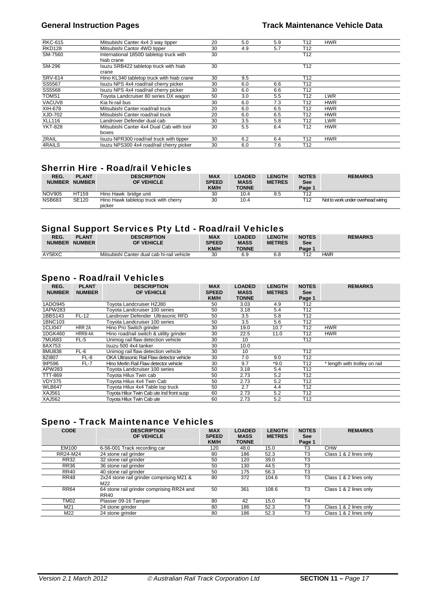| <b>RKC-615</b> | Mitsubishi Canter 4x4 3 way tipper        | 20 | 5.0 | 5.9 | T12             | <b>HWR</b> |  |
|----------------|-------------------------------------------|----|-----|-----|-----------------|------------|--|
| <b>RKD128</b>  | Mitsubishi Cantor 4WD tipper              | 30 | 4.9 | 5.7 | T <sub>12</sub> |            |  |
| SM-7560        | International 1850D tabletop truck with   | 30 |     |     | T <sub>12</sub> |            |  |
|                | hiab crane                                |    |     |     |                 |            |  |
| SM-296         | Isuzu SRB422 tabletop truck with hiab     | 30 |     |     | T <sub>12</sub> |            |  |
|                | crane                                     |    |     |     |                 |            |  |
| <b>SRV-614</b> | Hino KL340 tabletop truck with hiab crane | 30 | 9.5 |     | T12             |            |  |
| SS5567         | Isuzu NPS 4x4 road/rail cherry picker     | 30 | 6.0 | 6.6 | T <sub>12</sub> |            |  |
| SS5568         | Isuzu NPS 4x4 road/rail cherry picker     | 30 | 6.0 | 6.6 | T <sub>12</sub> |            |  |
| TOMS1          | Toyota Landcruiser 80 series DX wagon     | 50 | 3.0 | 5.5 | T <sub>12</sub> | <b>LWR</b> |  |
| VACUV8         | Kia hi-rail bus                           | 30 | 6.0 | 7.3 | T <sub>12</sub> | <b>HWR</b> |  |
| XIH-678        | Mitsubishi Canter road/rail truck         | 20 | 6.0 | 6.5 | T12             | <b>HWR</b> |  |
| XJD-702        | Mitsubishi Canter road/rail truck         | 20 | 6.0 | 6.5 | T12             | <b>HWR</b> |  |
| <b>XLL116</b>  | Landrover Defender dual cab               | 30 | 3.5 | 5.8 | T12             | <b>LWR</b> |  |
| <b>YKT-828</b> | Mitsubishi Canter 4x4 Dual Cab with tool  | 30 | 5.5 | 6.4 | T <sub>12</sub> | <b>HWR</b> |  |
|                | boxes                                     |    |     |     |                 |            |  |
| 2RAIL          | Isuzu NPR300 road/rail truck with tipper  | 30 | 6.2 | 6.4 | T12             | <b>HWR</b> |  |
| 4RAILS         | Isuzu NPS300 4x4 road/rail cherry picker  | 30 | 6.0 | 7.6 | T12             |            |  |

# Sherrin Hire - Road/rail Vehicles

| REG.<br><b>NUMBER</b> | <b>PLANT</b><br><b>NUMBER</b> | <b>DESCRIPTION</b><br>OF VEHICLE               | <b>MAX</b><br><b>SPEED</b><br><b>KM/H</b> | <b>LOADED</b><br><b>MASS</b><br><b>TONNE</b> | <b>LENGTH</b><br><b>METRES</b> | <b>NOTES</b><br>See<br>Page 1 | <b>REMARKS</b>                    |
|-----------------------|-------------------------------|------------------------------------------------|-------------------------------------------|----------------------------------------------|--------------------------------|-------------------------------|-----------------------------------|
| <b>NOV905</b>         | HT159                         | Hino Hawk bridge unit                          | 30                                        | 10.4                                         | 8.5                            | T12                           |                                   |
| <b>NSB683</b>         | <b>SE120</b>                  | Hino Hawk tabletop truck with cherry<br>picker | 30                                        | 10.4                                         |                                | T12                           | Not to work under overhead wiring |

#### Signal Support Services Pty Ltd - Road/rail Vehicles

| REG.          | <b>PLANT</b>  | <b>DESCRIPTION</b>                         | <b>MAX</b>   | <b>LOADED</b> | <b>_ENGTH</b> | <b>NOTES</b> | <b>REMARKS</b> |
|---------------|---------------|--------------------------------------------|--------------|---------------|---------------|--------------|----------------|
| <b>NUMBER</b> | <b>NUMBER</b> | <b>OF VEHICLE</b>                          | <b>SPEED</b> | <b>MASS</b>   | <b>METRES</b> | See          |                |
|               |               |                                            | <b>KM/H</b>  | <b>TONNE</b>  |               | Page 1       |                |
| AY58XC        |               | Mitsubishi Canter dual cab hi-rail vehicle | 30           | 6.9           | 6.8           |              | HWR            |

#### Speno - Road/rail Vehicles

| REG.<br><b>NUMBER</b> | <b>PLANT</b><br><b>NUMBER</b> | <b>DESCRIPTION</b><br><b>OF VEHICLE</b>   | <b>MAX</b><br><b>SPEED</b><br><b>KM/H</b> | <b>LOADED</b><br><b>MASS</b><br><b>TONNE</b> | <b>LENGTH</b><br><b>METRES</b> | <b>NOTES</b><br><b>See</b><br>Page 1 | <b>REMARKS</b>                |
|-----------------------|-------------------------------|-------------------------------------------|-------------------------------------------|----------------------------------------------|--------------------------------|--------------------------------------|-------------------------------|
| 1ADO945               |                               | Toyota Landcruiser HZJ80                  | 50                                        | 3.03                                         | 4.9                            | T12                                  |                               |
| 1APW283               |                               | Toyota Landcruiser 100 series             | 50                                        | 3.18                                         | 5.4                            | T <sub>12</sub>                      |                               |
| 1BBS143               | FL-12                         | Landrover Defender Ultrasonic RFD         | 50                                        | 3.5                                          | 5.8                            | T <sub>12</sub>                      |                               |
| 1BNC103               |                               | Toyota Landcruiser 100 series             | 50                                        | 3.5                                          | 5.6                            | T <sub>12</sub>                      |                               |
| 1CLI047               | HRR 2A                        | Hino Pro Switch arinder                   | 30                                        | 19.0                                         | 10.7                           | T <sub>12</sub>                      | <b>HWR</b>                    |
| 1DGK460               | HRR8-4A                       | Hino road/rail switch & utility grinder   | 30                                        | 22.5                                         | 11.0                           | T12                                  | <b>HWR</b>                    |
| 7MU683                | FL-5                          | Unimog rail flaw detection vehicle        | 30                                        | 10                                           |                                | T <sub>12</sub>                      |                               |
| 8AX753                |                               | Isuzu 500 4x4 tanker                      | 30                                        | 10.0                                         |                                |                                      |                               |
| 8MU838                | FL-6                          | Unimog rail flaw detection vehicle        | 30                                        | 10                                           |                                | T <sub>12</sub>                      |                               |
| 8Z1807                | FL-8                          | OKA Ultrasonic Rail Flaw detector vehicle | 30                                        | 7.0                                          | 9.0                            | T <sub>12</sub>                      |                               |
| 9IP596                | $FL-7$                        | Hino Merlin Rail Flaw detector vehicle    | 30                                        | 9.7                                          | *9.0                           | T <sub>12</sub>                      | * length with trolley on rail |
| APW283                |                               | Toyota Landcruiser 100 series             | 50                                        | 3.18                                         | 5.4                            | T <sub>12</sub>                      |                               |
| <b>TTT-869</b>        |                               | Tovota Hilux Twin cab                     | 50                                        | 2.73                                         | 5.2                            | T <sub>12</sub>                      |                               |
| <b>VDY375</b>         |                               | Tovota Hilux 4x4 Twin Cab                 | 50                                        | 2.73                                         | 5.2                            | T <sub>12</sub>                      |                               |
| <b>WLB647</b>         |                               | Toyota Hilux 4x4 Table top truck          | 50                                        | 2.7                                          | 4.4                            | T <sub>12</sub>                      |                               |
| <b>XAJ561</b>         |                               | Toyota Hilux Twin Cab ute Ind front susp  | 60                                        | 2.73                                         | 5.2                            | T <sub>12</sub>                      |                               |
| <b>XAJ562</b>         |                               | Tovota Hilux Twin Cab ute                 | 60                                        | 2.73                                         | 5.2                            | T <sub>12</sub>                      |                               |

# Speno - Track Maintenance Vehicles

| <b>CODE</b> | <b>DESCRIPTION</b><br>OF VEHICLE                  | <b>MAX</b><br><b>SPEED</b><br>KM/H | <b>LOADED</b><br><b>MASS</b><br><b>TONNE</b> | <b>LENGTH</b><br><b>METRES</b> | <b>NOTES</b><br><b>See</b><br>Page 1 | <b>REMARKS</b>         |
|-------------|---------------------------------------------------|------------------------------------|----------------------------------------------|--------------------------------|--------------------------------------|------------------------|
| EM100       | 6-56-001 Track recording car                      | 120                                | 48.0                                         | 15.0                           | T <sub>3</sub>                       | <b>CHW</b>             |
| RR24-M24    | 24 stone rail grinder                             | 80                                 | 186                                          | 52.3                           | T <sub>3</sub>                       | Class 1 & 2 lines only |
| <b>RR32</b> | 32 stone rail grinder                             | 50                                 | 120                                          | 39.0                           | T <sub>3</sub>                       |                        |
| <b>RR36</b> | 36 stone rail grinder                             | 50                                 | 130                                          | 44.5                           | T <sub>3</sub>                       |                        |
| <b>RR40</b> | 40 stone rail grinder                             | 50                                 | 175                                          | 56.3                           | T <sub>3</sub>                       |                        |
| <b>RR48</b> | 2x24 stone rail grinder comprising M21 &<br>M22   | 80                                 | 372                                          | 104.6                          | T <sub>3</sub>                       | Class 1 & 2 lines only |
| <b>RR64</b> | 64 stone rail grinder comprising RR24 and<br>RR40 | 50                                 | 361                                          | 108.6                          | T <sub>3</sub>                       | Class 1 & 2 lines only |
| <b>TM02</b> | Plasser 09-16 Tamper                              | 80                                 | 42                                           | 15.0                           | T <sub>4</sub>                       |                        |
| M21         | 24 stone grinder                                  | 80                                 | 186                                          | 52.3                           | T <sub>3</sub>                       | Class 1 & 2 lines only |
| M22         | 24 stone grinder                                  | 80                                 | 186                                          | 52.3                           | T <sub>3</sub>                       | Class 1 & 2 lines only |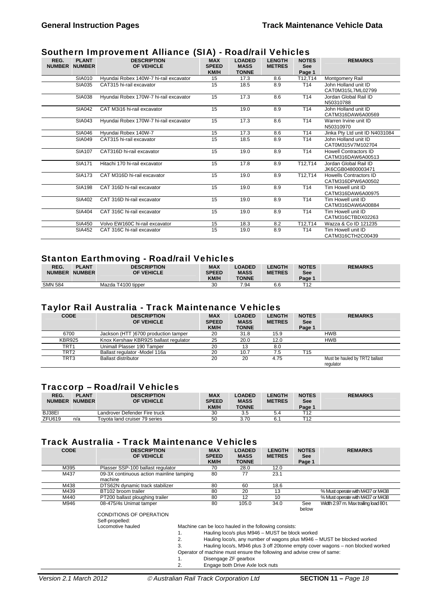# Southern Improvement Alliance (SIA) - Road/rail Vehicles

| REG.<br><b>NUMBER</b> | <b>PLANT</b><br><b>NUMBER</b> | <b>DESCRIPTION</b><br>OF VEHICLE       | <b>MAX</b><br><b>SPEED</b><br>KM/H | <b>LOADED</b><br><b>MASS</b><br><b>TONNE</b> | <b>LENGTH</b><br><b>METRES</b> | <b>NOTES</b><br><b>See</b><br>Page 1 | <b>REMARKS</b>                                    |
|-----------------------|-------------------------------|----------------------------------------|------------------------------------|----------------------------------------------|--------------------------------|--------------------------------------|---------------------------------------------------|
|                       | <b>SIA010</b>                 | Hyundai Robex 140W-7 hi-rail excavator | 15                                 | 17.3                                         | 8.6                            | T12,T14                              | Montgomery Rail                                   |
|                       | SIA035                        | CAT315 hi-rail excavator               | 15                                 | 18.5                                         | 8.9                            | T <sub>14</sub>                      | John Holland unit ID<br>CAT0M315L7ML02799         |
|                       | <b>SIA038</b>                 | Hyundai Robex 170W-7 hi-rail excavator | 15                                 | 17.3                                         | 8.6                            | T <sub>14</sub>                      | Jordan Global Rail ID<br>N50310788                |
|                       | <b>SIA042</b>                 | CAT M3i16 hi-rail excavator            | 15                                 | 19.0                                         | 8.9                            | T <sub>14</sub>                      | John Holland unit ID<br>CATM316DAW6A00569         |
|                       | <b>SIA043</b>                 | Hyundai Robex 170W-7 hi-rail excavator | 15                                 | 17.3                                         | 8.6                            | T <sub>14</sub>                      | Warren Irvine unit ID<br>N50310970                |
|                       | <b>SIA046</b>                 | Hyundai Robex 140W-7                   | 15                                 | 17.3                                         | 8.6                            | T <sub>14</sub>                      | Jinka Pty Ltd unit ID N4031084                    |
|                       | <b>SIA049</b>                 | CAT315 hi-rail excavator               | 15                                 | 18.5                                         | 8.9                            | T <sub>14</sub>                      | John Holland unit ID<br>CAT0M315V7M102704         |
|                       | <b>SIA107</b>                 | CAT316D hi-rail excavator              | 15                                 | 19.0                                         | 8.9                            | T <sub>14</sub>                      | <b>Howell Contractors ID</b><br>CATM316DAW6A00513 |
|                       | <b>SIA171</b>                 | Hitachi 170 hi-rail excavator          | 15                                 | 17.8                                         | 8.9                            | T12,T14                              | Jordan Global Rail ID<br>JK6CGB04800003471        |
|                       | <b>SIA173</b>                 | CAT M316D hi-rail excavator            | 15                                 | 19.0                                         | 8.9                            | T12,T14                              | Howells Contractors ID<br>CATM316DPW6A00502       |
|                       | <b>SIA198</b>                 | CAT 316D hi-rail excavator             | 15                                 | 19.0                                         | 8.9                            | T <sub>14</sub>                      | Tim Howell unit ID<br>CATM316DAW6A00975           |
|                       | <b>SIA402</b>                 | CAT 316D hi-rail excavator             | 15                                 | 19.0                                         | 8.9                            | T <sub>14</sub>                      | Tim Howell unit ID<br>CATM316DAW6A00884           |
|                       | SIA404                        | CAT 316C hi-rail excavator             | 15                                 | 19.0                                         | 8.9                            | T14                                  | Tim Howell unit ID<br>CATM316CTBDX02263           |
|                       | <b>SIA450</b>                 | Volvo EW160C hi-rail excavator         | 15                                 | 18.3                                         | 8.2                            | T12,T14                              | Wazza & Co ID 121235                              |
|                       | <b>SIA452</b>                 | CAT 316C hi-rail excavator             | 15                                 | 19.0                                         | 8.9                            | T <sub>14</sub>                      | Tim Howell unit ID<br>CATM316CTH2C00439           |

#### Stanton Earthmoving - Road/rail Vehicles

| REG.           | <b>PLANT</b>  | <b>DESCRIPTION</b> | <b>MAX</b>   | <b>LOADED</b> | <b>LENGTH</b> | <b>NOTES</b>     | <b>REMARKS</b> |
|----------------|---------------|--------------------|--------------|---------------|---------------|------------------|----------------|
| <b>NUMBER</b>  | <b>NUMBER</b> | OF VEHICLE         | <b>SPEED</b> | <b>MASS</b>   | <b>METRES</b> | See              |                |
|                |               |                    | <b>KM/H</b>  | <b>TONNE</b>  |               | Page 1           |                |
| <b>SMN 584</b> |               | Mazda T4100 tipper | ว∩<br>υu     | 7.94          | 6.6           | <b>T40</b><br>╶╹ |                |

# Taylor Rail Australia - Track Maintenance Vehicles

| <b>CODE</b>      | <b>DESCRIPTION</b><br>OF VEHICLE      | <b>MAX</b><br><b>SPEED</b><br><b>KM/H</b> | <b>LOADED</b><br><b>MASS</b><br><b>TONNE</b> | <b>LENGTH</b><br><b>METRES</b> | <b>NOTES</b><br><b>See</b><br>Page 1 | <b>REMARKS</b>                              |
|------------------|---------------------------------------|-------------------------------------------|----------------------------------------------|--------------------------------|--------------------------------------|---------------------------------------------|
| 6700             | Jackson (HTT) 6700 production tamper  | 20                                        | 31.8                                         | 15.9                           |                                      | <b>HWB</b>                                  |
| <b>KBR925</b>    | Knox Kershaw KBR925 ballast regulator | 25                                        | 20.0                                         | 12.0                           |                                      | <b>HWB</b>                                  |
| TRT <sub>1</sub> | Unimall Plasser 190 Tamper            | 20                                        | 13                                           | 8.0                            |                                      |                                             |
| TRT2             | Ballast regulator - Model 116a        | 20                                        | 10.7                                         | 7.5                            | T15                                  |                                             |
| TRT3             | <b>Ballast distributor</b>            | 20                                        | 20                                           | 4.75                           |                                      | Must be hauled by TRT2 ballast<br>regulator |

# Traccorp – Road/rail Vehicles

| REG.<br><b>NUMBER</b> | <b>PLANT</b><br><b>NUMBER</b> | <b>DESCRIPTION</b><br>OF VEHICLE | <b>MAX</b><br><b>SPEED</b><br><b>KM/H</b> | <b>LOADED</b><br><b>MASS</b><br><b>TONNE</b> | <b>.ENGTH</b><br><b>METRES</b> | <b>NOTES</b><br>See<br>Page 1 | <b>REMARKS</b> |
|-----------------------|-------------------------------|----------------------------------|-------------------------------------------|----------------------------------------------|--------------------------------|-------------------------------|----------------|
| BJ38EI                |                               | Landrover Defender Fire truck    | 30                                        | 3.5                                          | 5.4                            | T12                           |                |
| <b>ZFU619</b>         | n/a                           | Tovota land cruiser 79 series    | 50                                        | 3.70                                         |                                | T12                           |                |

#### Track Australia - Track Maintenance Vehicles

| <b>CODE</b> | <b>DESCRIPTION</b><br>OF VEHICLE                    | <b>MAX</b><br><b>SPEED</b><br>KM/H                    | <b>LOADED</b><br><b>MASS</b><br><b>TONNE</b> | <b>LENGTH</b><br><b>METRES</b> | <b>NOTES</b><br><b>See</b><br>Page 1 | <b>REMARKS</b>                                                                                                    |  |  |  |
|-------------|-----------------------------------------------------|-------------------------------------------------------|----------------------------------------------|--------------------------------|--------------------------------------|-------------------------------------------------------------------------------------------------------------------|--|--|--|
| M395        | Plasser SSP-100 ballast regulator                   | 70                                                    | 28.0                                         | 12.0                           |                                      |                                                                                                                   |  |  |  |
| M437        | 09-3X continuous action mainline tamping<br>machine | 80                                                    | 77                                           | 23.1                           |                                      |                                                                                                                   |  |  |  |
| M438        | DTS62N dynamic track stabilizer                     | 80                                                    | 60                                           | 18.6                           |                                      |                                                                                                                   |  |  |  |
| M439        | BT102 broom trailer                                 | 80                                                    | 20                                           | 13                             |                                      | % Must operate with M437 or M438                                                                                  |  |  |  |
| M440        | PT200 ballast ploughing trailer                     | 80                                                    | 12                                           | 10                             |                                      | % Must operate with M437 or M438                                                                                  |  |  |  |
| M946        | 08-475/4s Unimat tamper                             | 80                                                    | 105.0                                        | 34.0                           | See<br>below                         | Width 2.97 m. Max trailing load 80 t.                                                                             |  |  |  |
|             | <b>CONDITIONS OF OPERATION</b><br>Self-propelled:   |                                                       |                                              |                                |                                      |                                                                                                                   |  |  |  |
|             | Locomotive hauled                                   | Machine can be loco hauled in the following consists: |                                              |                                |                                      |                                                                                                                   |  |  |  |
|             |                                                     | Hauling loco/s plus M946 - MUST be block worked       |                                              |                                |                                      |                                                                                                                   |  |  |  |
|             |                                                     |                                                       |                                              |                                |                                      | Hauling loco/s, any number of wagons plus M946 – MUST be blocked worked                                           |  |  |  |
|             |                                                     |                                                       |                                              |                                |                                      | The discussion of the MO 40 million. On the OO to see the construction of the common section of the discussion of |  |  |  |

Hauling loco/s, M946 plus 3 off 20tonne empty cover wagons - non blocked worked

- Operator of machine must ensure the following and advise crew of same:
- 1. Disengage ZF gearbox

2. Engage both Drive Axle lock nuts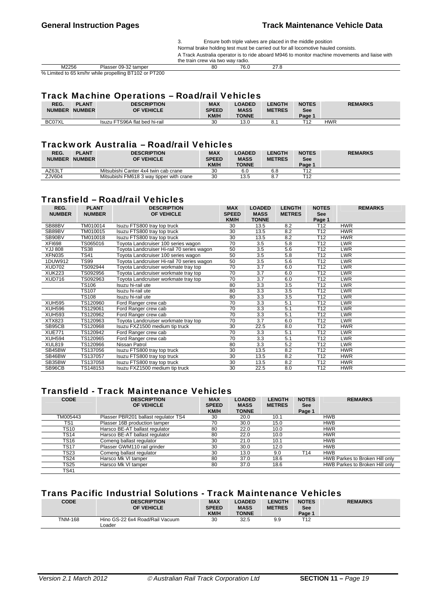3. Ensure both triple valves are placed in the middle position Normal brake holding test must be carried out for all locomotive hauled consists. A Track Australia operator is to ride aboard M946 to monitor machine movements and liaise with the train crew via two way radio.<br>80 76.0

M2256 Plasser 09-32 tamper 80 76.0 27.8 % Limited to 65 km/hr while propelling BT102 or PT200

# Track Machine Operations – Road/rail Vehicles

| REG.<br><b>NUMBER</b> | <b>PLANT</b><br><b>NUMBER</b> | <b>DESCRIPTION</b><br>OF VEHICLE | <b>MAX</b><br><b>SPEED</b><br><b>KM/H</b> | <b>LOADED</b><br><b>MASS</b><br><b>TONNE</b> | <b>LENGTH</b><br><b>METRES</b> | <b>NOTES</b><br><b>See</b><br>Page ' | <b>REMARKS</b> |
|-----------------------|-------------------------------|----------------------------------|-------------------------------------------|----------------------------------------------|--------------------------------|--------------------------------------|----------------|
| BC07XL                |                               | Isuzu FTS96A flat bed hi-rail    | 30                                        | 13.0                                         | Ω<br>ο.                        | T12                                  | HWR            |

#### Trackwork Australia – Road/rail Vehicles

| REG.<br><b>NUMBER</b> | <b>PLANT</b><br><b>NUMBER</b> | <b>DESCRIPTION</b><br>OF VEHICLE         | <b>MAX</b><br><b>SPEED</b><br><b>KM/H</b> | <b>LOADED</b><br><b>MASS</b><br><b>TONNE</b> | <b>LENGTH</b><br><b>METRES</b> | <b>NOTES</b><br><b>See</b><br>Page 1 | <b>REMARKS</b> |
|-----------------------|-------------------------------|------------------------------------------|-------------------------------------------|----------------------------------------------|--------------------------------|--------------------------------------|----------------|
| AZ63LT                |                               | Mitsubishi Canter 4x4 twin cab crane     | 30                                        | 6.C                                          | 6.8                            | T <sub>12</sub>                      |                |
| ZJV604                |                               | Mitsubishi FM618 3 way tipper with crane | 30                                        | 13.5                                         | 8.7                            | T12                                  |                |

# Transfield – Road/rail Vehicles

| REG.<br><b>NUMBER</b> | <b>PLANT</b><br><b>NUMBER</b> | <b>DESCRIPTION</b><br>OF VEHICLE           | <b>MAX</b><br><b>SPEED</b> | <b>LOADED</b><br><b>MASS</b> | <b>LENGTH</b><br><b>METRES</b> | <b>NOTES</b><br><b>See</b> | <b>REMARKS</b> |
|-----------------------|-------------------------------|--------------------------------------------|----------------------------|------------------------------|--------------------------------|----------------------------|----------------|
|                       |                               |                                            | KM/H                       | <b>TONNE</b>                 |                                | Page 1                     |                |
| SB88BV                | TM010014                      | Isuzu FTS800 tray top truck                | 30                         | 13.5                         | 8.2                            | T <sub>12</sub>            | <b>HWR</b>     |
| SB89BV                | TM010015                      | Isuzu FTS800 tray top truck                | 30                         | 13.5                         | 8.2                            | T <sub>12</sub>            | <b>HWR</b>     |
| SB90BV                | TM010018                      | Isuzu FTS800 tray top truck                | 30                         | 13.5                         | 8.2                            | T <sub>12</sub>            | <b>HWR</b>     |
| <b>XFI698</b>         | TS065016                      | Toyota Landcruiser 100 series wagon        | 70                         | 3.5                          | 5.8                            | T <sub>12</sub>            | <b>LWR</b>     |
| <b>808 LLY</b>        | <b>TS38</b>                   | Toyota Landcruiser Hi-rail 70 series wagon | 50                         | 3.5                          | 5.6                            | T <sub>12</sub>            | <b>LWR</b>     |
| <b>XFN035</b>         | <b>TS41</b>                   | Toyota Landcruiser 100 series wagon        | 50                         | 3.5                          | 5.8                            | T <sub>12</sub>            | <b>LWR</b>     |
| 1DUW912               | <b>TS99</b>                   | Toyota Landcruiser Hi-rail 70 series wagon | 50                         | 3.5                          | 5.6                            | T <sub>12</sub>            | <b>LWR</b>     |
| <b>XUD702</b>         | TS092944                      | Toyota Landcruiser workmate tray top       | 70                         | 3.7                          | 6.0                            | T <sub>12</sub>            | <b>LWR</b>     |
| <b>XUK223</b>         | TS092956                      | Toyota Landcruiser workmate tray top       | 70                         | 3.7                          | 6.0                            | T <sub>12</sub>            | <b>LWR</b>     |
| XUD716                | TS092963                      | Toyota Landcruiser workmate tray top       | 70                         | 3.7                          | 6.0                            | T <sub>12</sub>            | LWR            |
|                       | <b>TS106</b>                  | Isuzu hi-rail ute                          | 80                         | 3.3                          | 3.5                            | T <sub>12</sub>            | <b>LWR</b>     |
|                       | <b>TS107</b>                  | Isuzu hi-rail ute                          | 80                         | 3.3                          | 3.5                            | T <sub>12</sub>            | <b>LWR</b>     |
|                       | <b>TS108</b>                  | Isuzu hi-rail ute                          | 80                         | 3.3                          | 3.5                            | T <sub>12</sub>            | LWR            |
| <b>XUH595</b>         | TS120960                      | Ford Ranger crew cab                       | 70                         | 3.3                          | 5.1                            | T <sub>12</sub>            | <b>LWR</b>     |
| <b>XUH596</b>         | TS129061                      | Ford Ranger crew cab                       | 70                         | 3.3                          | 5.1                            | T <sub>12</sub>            | <b>LWR</b>     |
| <b>XUH593</b>         | TS120962                      | Ford Ranger crew cab                       | 70                         | 3.3                          | 5.1                            | T <sub>12</sub>            | <b>LWR</b>     |
| XTX823                | TS120963                      | Toyota Landcruiser workmate tray top       | 70                         | 3.7                          | 6.0                            | T <sub>12</sub>            | <b>LWR</b>     |
| SB95CB                | TS120968                      | Isuzu FXZ1500 medium tip truck             | 30                         | 22.5                         | 8.0                            | T <sub>12</sub>            | <b>HWR</b>     |
| <b>XUE771</b>         | TS120942                      | Ford Ranger crew cab                       | 70                         | 3.3                          | 5.1                            | T <sub>12</sub>            | LWR            |
| <b>XUH594</b>         | TS120965                      | Ford Ranger crew cab                       | 70                         | 3.3                          | 5.1                            | T12                        | <b>LWR</b>     |
| <b>XUL819</b>         | TS120966                      | Nissan Patrol                              | 80                         | 3.3                          | 5.2                            | T <sub>12</sub>            | <b>LWR</b>     |
| SB45BW                | TS137056                      | Isuzu FTS800 tray top truck                | 30                         | 13.5                         | 8.2                            | T <sub>12</sub>            | <b>HWR</b>     |
| SB46BW                | TS137057                      | Isuzu FTS800 tray top truck                | 30                         | 13.5                         | 8.2                            | T12                        | <b>HWR</b>     |
| SB35BW                | TS137058                      | Isuzu FTS800 tray top truck                | 30                         | 13.5                         | 8.2                            | T <sub>12</sub>            | <b>HWR</b>     |
| SB96CB                | TS148153                      | Isuzu FXZ1500 medium tip truck             | 30                         | 22.5                         | 8.0                            | T <sub>12</sub>            | <b>HWR</b>     |

#### Transfield - Track Maintenance Vehicles

| <b>CODE</b> | <b>DESCRIPTION</b><br>OF VEHICLE     | <b>MAX</b><br><b>SPEED</b> | <b>LOADED</b><br><b>MASS</b> | <b>LENGTH</b><br><b>METRES</b> | <b>NOTES</b><br>See | <b>REMARKS</b>                 |
|-------------|--------------------------------------|----------------------------|------------------------------|--------------------------------|---------------------|--------------------------------|
|             |                                      | KM/H                       | <b>TONNE</b>                 |                                | Page 1              |                                |
| TM005443    | Plasser PBR201 ballast regulator TS4 | 30                         | 20.0                         | 10.1                           |                     | <b>HWB</b>                     |
| TS1         | Plasser 16B production tamper        | 70                         | 30.0                         | 15.0                           |                     | <b>HWB</b>                     |
| <b>TS10</b> | Harsco BE-AT ballast regulator       | 80                         | 22.0                         | 10.0                           |                     | <b>HWR</b>                     |
| TS14        | Harsco BE-AT ballast regulator       | 80                         | 22.0                         | 10.0                           |                     | <b>HWR</b>                     |
| <b>TS16</b> | Comeng ballast regulator             | 30                         | 21.0                         | 10.1                           |                     | <b>HWB</b>                     |
| TS17        | Plasser GWM110 rail grinder          | 30                         | 30.0                         | 12.0                           |                     | <b>HWB</b>                     |
| TS23        | Comeng ballast regulator             | 30                         | 13.0                         | 9.0                            | T14                 | <b>HWB</b>                     |
| TS24        | Harsco Mk VI tamper                  | 80                         | 37.0                         | 18.6                           |                     | HWB Parkes to Broken Hill only |
| TS25        | Harsco Mk VI tamper                  | 80                         | 37.0                         | 18.6                           |                     | HWB Parkes to Broken Hill only |
| TS41        |                                      |                            |                              |                                |                     |                                |

#### Trans Pacific Industrial Solutions - Track Maintenance Vehicles

| CODE           | <b>DESCRIPTION</b><br>OF VEHICLE          | <b>MAX</b><br><b>SPEED</b><br><b>KM/H</b> | <b>LOADED</b><br><b>MASS</b><br><b>TONNE</b> | <b>LENGTH</b><br><b>METRES</b> | <b>NOTES</b><br>See<br>Page 1 | <b>REMARKS</b> |
|----------------|-------------------------------------------|-------------------------------------------|----------------------------------------------|--------------------------------|-------------------------------|----------------|
| <b>TNM-168</b> | Hino GS-22 6x4 Road/Rail Vacuum<br>∟oader | 30                                        | 32.5                                         | 9.9                            | T12                           |                |